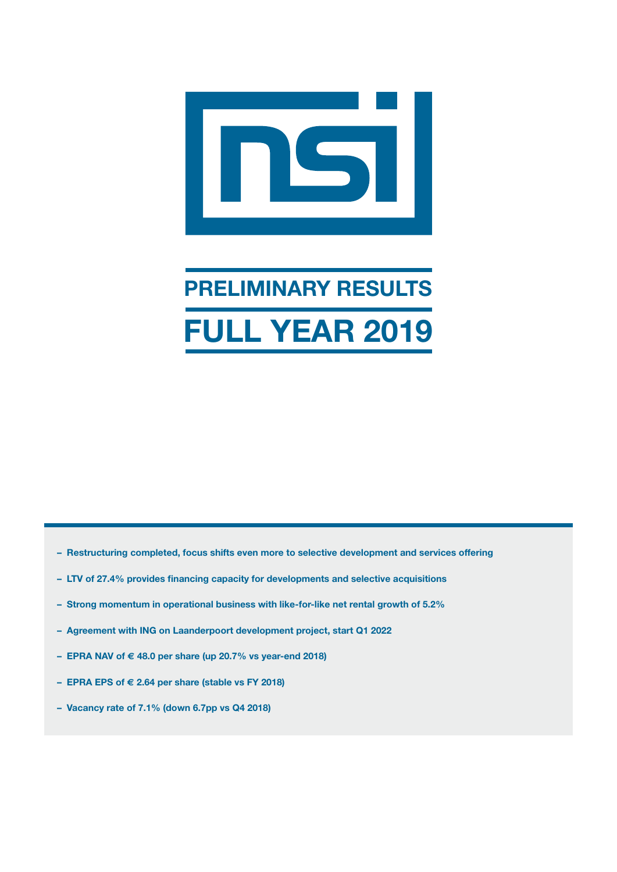

# **PRELIMINARY RESULTS FULL YEAR 2019**

- **Restructuring completed, focus shifts even more to selective development and services offering**
- **LTV of 27.4% provides financing capacity for developments and selective acquisitions**
- **Strong momentum in operational business with like-for-like net rental growth of 5.2%**
- **Agreement with ING on Laanderpoort development project, start Q1 2022**
- **EPRA NAV of € 48.0 per share (up 20.7% vs year-end 2018)**
- **EPRA EPS of € 2.64 per share (stable vs FY 2018)**
- **Vacancy rate of 7.1% (down 6.7pp vs Q4 2018)**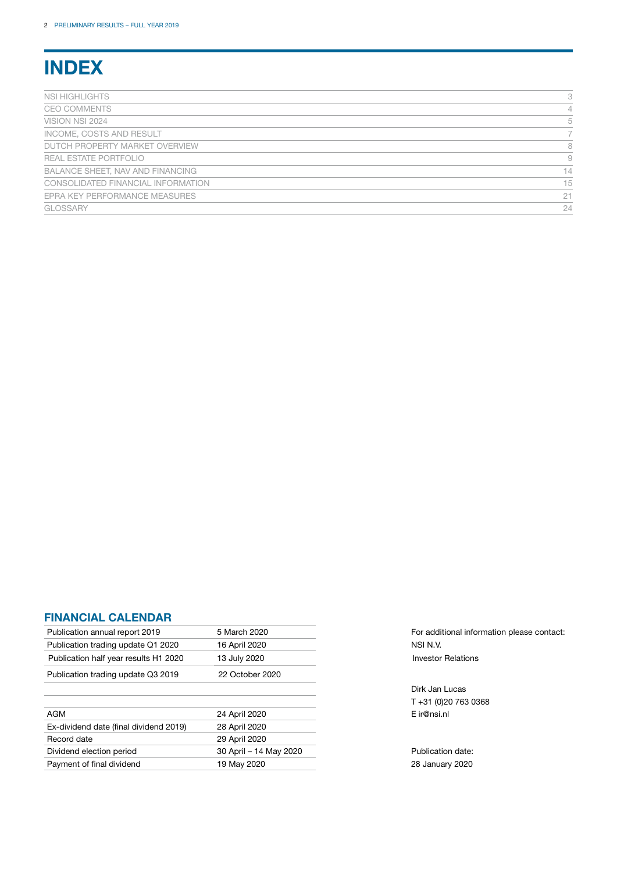# **INDEX**

| NSI HIGHLIGHTS                     | 3  |
|------------------------------------|----|
| <b>CEO COMMENTS</b>                | 4  |
| VISION NSI 2024                    | 5  |
| INCOME, COSTS AND RESULT           |    |
| DUTCH PROPERTY MARKET OVERVIEW     | 8  |
| REAL ESTATE PORTFOLIO              | 9  |
| BALANCE SHEET, NAV AND FINANCING   | 14 |
| CONSOLIDATED FINANCIAL INFORMATION | 15 |
| EPRA KEY PERFORMANCE MEASURES      | 21 |
| <b>GLOSSARY</b>                    | 24 |

### **FINANCIAL CALENDAR**

| Publication annual report 2019         | 5 March 2020           | For addi    |
|----------------------------------------|------------------------|-------------|
| Publication trading update Q1 2020     | 16 April 2020          | NSI N.V.    |
| Publication half year results H1 2020  | 13 July 2020           | Investor    |
| Publication trading update Q3 2019     | 22 October 2020        |             |
|                                        |                        | Dirk Jan    |
|                                        |                        | $T + 31(0)$ |
| AGM                                    | 24 April 2020          | E ir@nsi    |
| Ex-dividend date (final dividend 2019) | 28 April 2020          |             |
| Record date                            | 29 April 2020          |             |
| Dividend election period               | 30 April - 14 May 2020 | Publicat    |
| Payment of final dividend              | 19 May 2020            | 28 Janu     |
|                                        |                        |             |

For additional information please contact: **Investor Relations** 

Dirk Jan Lucas T +31 (0)20 763 0368 E ir@nsi.nl

Publication date: 28 January 2020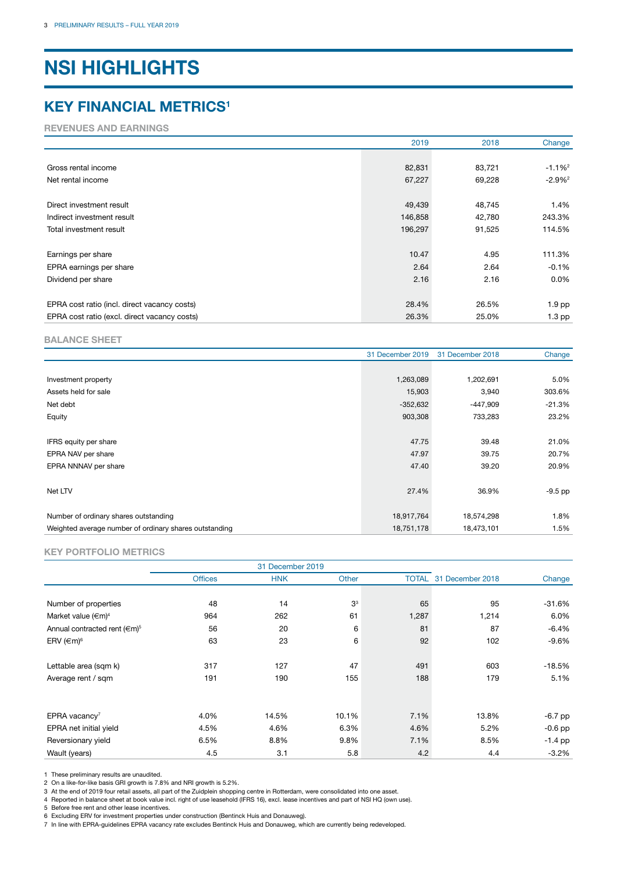# **NSI HIGHLIGHTS**

### **KEY FINANCIAL METRICS1**

**REVENUES AND EARNINGS**

|                                              | 2019    | 2018   | Change               |
|----------------------------------------------|---------|--------|----------------------|
|                                              |         |        |                      |
| Gross rental income                          | 82,831  | 83,721 | $-1.1%^{2}$          |
| Net rental income                            | 67,227  | 69,228 | $-2.9%$ <sup>2</sup> |
|                                              |         |        |                      |
| Direct investment result                     | 49,439  | 48,745 | 1.4%                 |
| Indirect investment result                   | 146,858 | 42,780 | 243.3%               |
| Total investment result                      | 196,297 | 91,525 | 114.5%               |
|                                              |         |        |                      |
| Earnings per share                           | 10.47   | 4.95   | 111.3%               |
| EPRA earnings per share                      | 2.64    | 2.64   | $-0.1%$              |
| Dividend per share                           | 2.16    | 2.16   | $0.0\%$              |
|                                              |         |        |                      |
| EPRA cost ratio (incl. direct vacancy costs) | 28.4%   | 26.5%  | 1.9 pp               |
| EPRA cost ratio (excl. direct vacancy costs) | 26.3%   | 25.0%  | $1.3$ pp             |

#### **BALANCE SHEET**

|                                                        | 31 December 2019 | 31 December 2018 | Change    |
|--------------------------------------------------------|------------------|------------------|-----------|
|                                                        |                  |                  |           |
| Investment property                                    | 1,263,089        | 1,202,691        | 5.0%      |
| Assets held for sale                                   | 15,903           | 3,940            | 303.6%    |
| Net debt                                               | $-352,632$       | -447,909         | $-21.3%$  |
| Equity                                                 | 903,308          | 733,283          | 23.2%     |
|                                                        |                  |                  |           |
| IFRS equity per share                                  | 47.75            | 39.48            | 21.0%     |
| EPRA NAV per share                                     | 47.97            | 39.75            | 20.7%     |
| EPRA NNNAV per share                                   | 47.40            | 39.20            | 20.9%     |
|                                                        |                  |                  |           |
| Net LTV                                                | 27.4%            | 36.9%            | $-9.5$ pp |
|                                                        |                  |                  |           |
| Number of ordinary shares outstanding                  | 18,917,764       | 18,574,298       | 1.8%      |
| Weighted average number of ordinary shares outstanding | 18,751,178       | 18,473,101       | 1.5%      |

#### **KEY PORTFOLIO METRICS**

|                                   |                | 31 December 2019 |                |       |                        |           |
|-----------------------------------|----------------|------------------|----------------|-------|------------------------|-----------|
|                                   | <b>Offices</b> | <b>HNK</b>       | Other          |       | TOTAL 31 December 2018 | Change    |
|                                   |                |                  |                |       |                        |           |
| Number of properties              | 48             | 14               | 3 <sup>3</sup> | 65    | 95                     | $-31.6%$  |
| Market value $( \infty )^4$       | 964            | 262              | 61             | 1,287 | 1,214                  | 6.0%      |
| Annual contracted rent $(6\pi)^5$ | 56             | 20               | 6              | 81    | 87                     | $-6.4%$   |
| ERV $(\infty)^6$                  | 63             | 23               | 6              | 92    | 102                    | $-9.6%$   |
|                                   |                |                  |                |       |                        |           |
| Lettable area (sqm k)             | 317            | 127              | 47             | 491   | 603                    | $-18.5%$  |
| Average rent / sqm                | 191            | 190              | 155            | 188   | 179                    | 5.1%      |
|                                   |                |                  |                |       |                        |           |
|                                   |                |                  |                |       |                        |           |
| EPRA vacancy <sup>7</sup>         | 4.0%           | 14.5%            | 10.1%          | 7.1%  | 13.8%                  | $-6.7$ pp |
| EPRA net initial yield            | 4.5%           | 4.6%             | 6.3%           | 4.6%  | 5.2%                   | $-0.6$ pp |
| Reversionary yield                | 6.5%           | 8.8%             | 9.8%           | 7.1%  | 8.5%                   | $-1.4$ pp |
| Wault (years)                     | 4.5            | 3.1              | 5.8            | 4.2   | 4.4                    | $-3.2%$   |

1 These preliminary results are unaudited. 2 On a like-for-like basis GRI growth is 7.8% and NRI growth is 5.2%.

3 At the end of 2019 four retail assets, all part of the Zuidplein shopping centre in Rotterdam, were consolidated into one asset.

4 Reported in balance sheet at book value incl. right of use leasehold (IFRS 16), excl. lease incentives and part of NSI HQ (own use).

5 Before free rent and other lease incentives.

6 Excluding ERV for investment properties under construction (Bentinck Huis and Donauweg).

7 In line with EPRA-guidelines EPRA vacancy rate excludes Bentinck Huis and Donauweg, which are currently being redeveloped.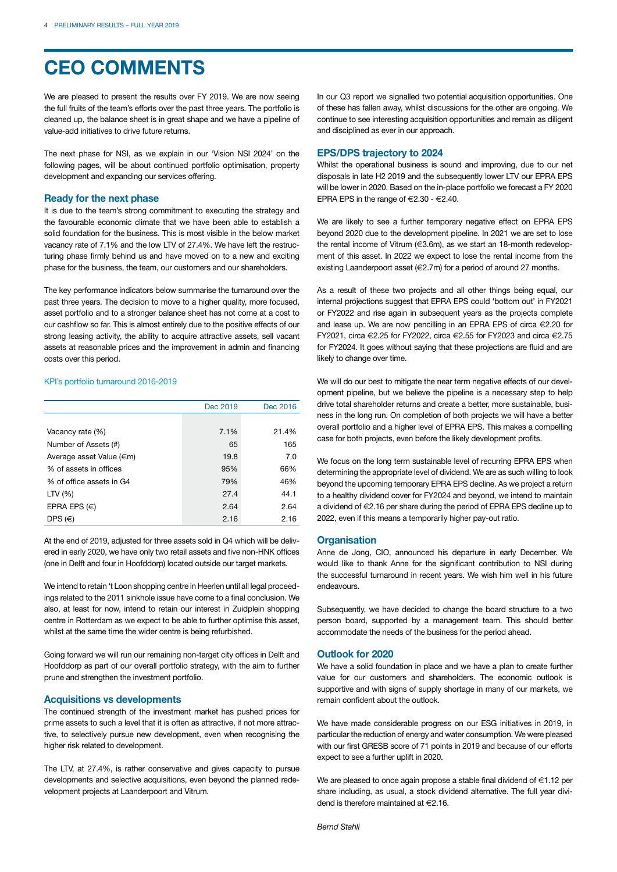# **CEO COMMENTS**

We are pleased to present the results over FY 2019. We are now seeing the full fruits of the team's efforts over the past three years. The portfolio is cleaned up, the balance sheet is in great shape and we have a pipeline of value-add initiatives to drive future returns.

The next phase for NSI, as we explain in our 'Vision NSI 2024' on the following pages, will be about continued portfolio optimisation, property development and expanding our services offering.

#### **Ready for the next phase**

It is due to the team's strong commitment to executing the strategy and the favourable economic climate that we have been able to establish a solid foundation for the business. This is most visible in the below market vacancy rate of 7.1% and the low LTV of 27.4%. We have left the restructuring phase firmly behind us and have moved on to a new and exciting phase for the business, the team, our customers and our shareholders.

The key performance indicators below summarise the turnaround over the past three years. The decision to move to a higher quality, more focused, asset portfolio and to a stronger balance sheet has not come at a cost to our cashflow so far. This is almost entirely due to the positive effects of our strong leasing activity, the ability to acquire attractive assets, sell vacant assets at reasonable prices and the improvement in admin and financing costs over this period.

#### KPI's portfolio turnaround 2016-2019

|                          | Dec 2019 | Dec 2016 |
|--------------------------|----------|----------|
|                          |          |          |
| Vacancy rate (%)         | 7.1%     | 21.4%    |
| Number of Assets (#)     | 65       | 165      |
| Average asset Value (€m) | 19.8     | 7.0      |
| % of assets in offices   | 95%      | 66%      |
| % of office assets in G4 | 79%      | 46%      |
| LTV $(% )$               | 27.4     | 44.1     |
| EPRA EPS $(\in)$         | 2.64     | 2.64     |
| DPS $(\in)$              | 2.16     | 2.16     |

At the end of 2019, adjusted for three assets sold in Q4 which will be delivered in early 2020, we have only two retail assets and five non-HNK offices (one in Delft and four in Hoofddorp) located outside our target markets.

We intend to retain 't Loon shopping centre in Heerlen until all legal proceedings related to the 2011 sinkhole issue have come to a final conclusion. We also, at least for now, intend to retain our interest in Zuidplein shopping centre in Rotterdam as we expect to be able to further optimise this asset, whilst at the same time the wider centre is being refurbished.

Going forward we will run our remaining non-target city offices in Delft and Hoofddorp as part of our overall portfolio strategy, with the aim to further prune and strengthen the investment portfolio.

#### **Acquisitions vs developments**

The continued strength of the investment market has pushed prices for prime assets to such a level that it is often as attractive, if not more attractive, to selectively pursue new development, even when recognising the higher risk related to development.

The LTV, at 27.4%, is rather conservative and gives capacity to pursue developments and selective acquisitions, even beyond the planned redevelopment projects at Laanderpoort and Vitrum.

In our Q3 report we signalled two potential acquisition opportunities. One of these has fallen away, whilst discussions for the other are ongoing. We continue to see interesting acquisition opportunities and remain as diligent and disciplined as ever in our approach.

#### **EPS/DPS trajectory to 2024**

Whilst the operational business is sound and improving, due to our net disposals in late H2 2019 and the subsequently lower LTV our EPRA EPS will be lower in 2020. Based on the in-place portfolio we forecast a FY 2020 EPRA EPS in the range of  $\in$  2.30 -  $\in$  2.40.

We are likely to see a further temporary negative effect on EPRA EPS beyond 2020 due to the development pipeline. In 2021 we are set to lose the rental income of Vitrum (€3.6m), as we start an 18-month redevelopment of this asset. In 2022 we expect to lose the rental income from the existing Laanderpoort asset (€2.7m) for a period of around 27 months.

As a result of these two projects and all other things being equal, our internal projections suggest that EPRA EPS could 'bottom out' in FY2021 or FY2022 and rise again in subsequent years as the projects complete and lease up. We are now pencilling in an EPRA EPS of circa €2.20 for FY2021, circa €2.25 for FY2022, circa €2.55 for FY2023 and circa €2.75 for FY2024. It goes without saying that these projections are fluid and are likely to change over time.

We will do our best to mitigate the near term negative effects of our development pipeline, but we believe the pipeline is a necessary step to help drive total shareholder returns and create a better, more sustainable, business in the long run. On completion of both projects we will have a better overall portfolio and a higher level of EPRA EPS. This makes a compelling case for both projects, even before the likely development profits.

We focus on the long term sustainable level of recurring EPRA EPS when determining the appropriate level of dividend. We are as such willing to look beyond the upcoming temporary EPRA EPS decline. As we project a return to a healthy dividend cover for FY2024 and beyond, we intend to maintain a dividend of €2.16 per share during the period of EPRA EPS decline up to 2022, even if this means a temporarily higher pay-out ratio.

#### **Organisation**

Anne de Jong, CIO, announced his departure in early December. We would like to thank Anne for the significant contribution to NSI during the successful turnaround in recent years. We wish him well in his future endeavours.

Subsequently, we have decided to change the board structure to a two person board, supported by a management team. This should better accommodate the needs of the business for the period ahead.

#### **Outlook for 2020**

We have a solid foundation in place and we have a plan to create further value for our customers and shareholders. The economic outlook is supportive and with signs of supply shortage in many of our markets, we remain confident about the outlook.

We have made considerable progress on our ESG initiatives in 2019, in particular the reduction of energy and water consumption. We were pleased with our first GRESB score of 71 points in 2019 and because of our efforts expect to see a further uplift in 2020.

We are pleased to once again propose a stable final dividend of €1.12 per share including, as usual, a stock dividend alternative. The full year dividend is therefore maintained at €2.16.

*Bernd Stahli*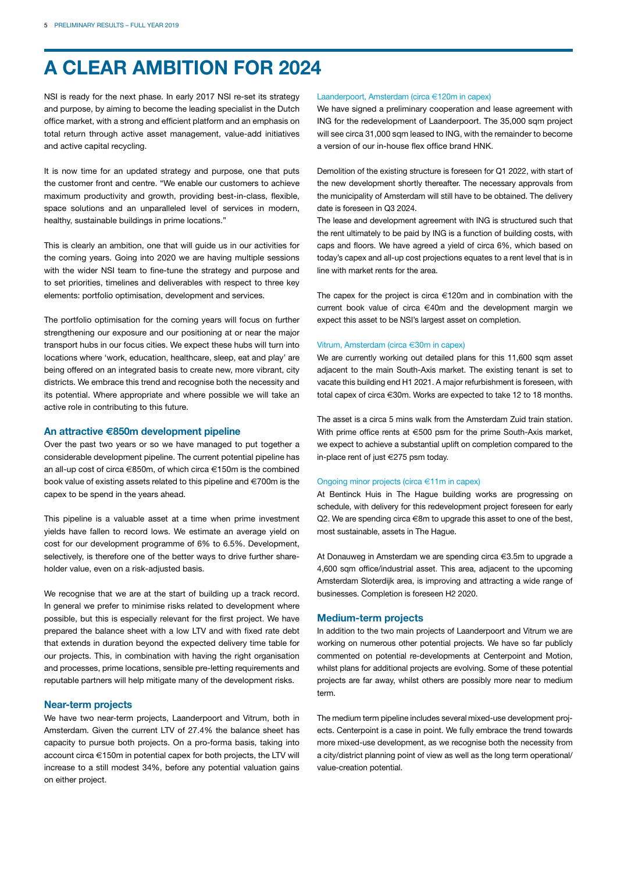# **A CLEAR AMBITION FOR 2024**

NSI is ready for the next phase. In early 2017 NSI re-set its strategy and purpose, by aiming to become the leading specialist in the Dutch office market, with a strong and efficient platform and an emphasis on total return through active asset management, value-add initiatives and active capital recycling.

It is now time for an updated strategy and purpose, one that puts the customer front and centre. "We enable our customers to achieve maximum productivity and growth, providing best-in-class, flexible, space solutions and an unparalleled level of services in modern, healthy, sustainable buildings in prime locations."

This is clearly an ambition, one that will guide us in our activities for the coming years. Going into 2020 we are having multiple sessions with the wider NSI team to fine-tune the strategy and purpose and to set priorities, timelines and deliverables with respect to three key elements: portfolio optimisation, development and services.

The portfolio optimisation for the coming years will focus on further strengthening our exposure and our positioning at or near the major transport hubs in our focus cities. We expect these hubs will turn into locations where 'work, education, healthcare, sleep, eat and play' are being offered on an integrated basis to create new, more vibrant, city districts. We embrace this trend and recognise both the necessity and its potential. Where appropriate and where possible we will take an active role in contributing to this future.

#### **An attractive €850m development pipeline**

Over the past two years or so we have managed to put together a considerable development pipeline. The current potential pipeline has an all-up cost of circa €850m, of which circa €150m is the combined book value of existing assets related to this pipeline and €700m is the capex to be spend in the years ahead.

This pipeline is a valuable asset at a time when prime investment yields have fallen to record lows. We estimate an average yield on cost for our development programme of 6% to 6.5%. Development, selectively, is therefore one of the better ways to drive further shareholder value, even on a risk-adjusted basis.

We recognise that we are at the start of building up a track record. In general we prefer to minimise risks related to development where possible, but this is especially relevant for the first project. We have prepared the balance sheet with a low LTV and with fixed rate debt that extends in duration beyond the expected delivery time table for our projects. This, in combination with having the right organisation and processes, prime locations, sensible pre-letting requirements and reputable partners will help mitigate many of the development risks.

#### **Near-term projects**

We have two near-term projects, Laanderpoort and Vitrum, both in Amsterdam. Given the current LTV of 27.4% the balance sheet has capacity to pursue both projects. On a pro-forma basis, taking into account circa €150m in potential capex for both projects, the LTV will increase to a still modest 34%, before any potential valuation gains on either project.

#### Laanderpoort, Amsterdam (circa €120m in capex)

We have signed a preliminary cooperation and lease agreement with ING for the redevelopment of Laanderpoort. The 35,000 sqm project will see circa 31,000 sqm leased to ING, with the remainder to become a version of our in-house flex office brand HNK.

Demolition of the existing structure is foreseen for Q1 2022, with start of the new development shortly thereafter. The necessary approvals from the municipality of Amsterdam will still have to be obtained. The delivery date is foreseen in Q3 2024.

The lease and development agreement with ING is structured such that the rent ultimately to be paid by ING is a function of building costs, with caps and floors. We have agreed a yield of circa 6%, which based on today's capex and all-up cost projections equates to a rent level that is in line with market rents for the area.

The capex for the project is circa €120m and in combination with the current book value of circa €40m and the development margin we expect this asset to be NSI's largest asset on completion.

#### Vitrum, Amsterdam (circa €30m in capex)

We are currently working out detailed plans for this 11,600 sqm asset adjacent to the main South-Axis market. The existing tenant is set to vacate this building end H1 2021. A major refurbishment is foreseen, with total capex of circa €30m. Works are expected to take 12 to 18 months.

The asset is a circa 5 mins walk from the Amsterdam Zuid train station. With prime office rents at €500 psm for the prime South-Axis market, we expect to achieve a substantial uplift on completion compared to the in-place rent of just €275 psm today.

#### Ongoing minor projects (circa €11m in capex)

At Bentinck Huis in The Hague building works are progressing on schedule, with delivery for this redevelopment project foreseen for early Q2. We are spending circa €8m to upgrade this asset to one of the best, most sustainable, assets in The Hague.

At Donauweg in Amsterdam we are spending circa €3.5m to upgrade a 4,600 sqm office/industrial asset. This area, adjacent to the upcoming Amsterdam Sloterdijk area, is improving and attracting a wide range of businesses. Completion is foreseen H2 2020.

#### **Medium-term projects**

In addition to the two main projects of Laanderpoort and Vitrum we are working on numerous other potential projects. We have so far publicly commented on potential re-developments at Centerpoint and Motion, whilst plans for additional projects are evolving. Some of these potential projects are far away, whilst others are possibly more near to medium term.

The medium term pipeline includes several mixed-use development projects. Centerpoint is a case in point. We fully embrace the trend towards more mixed-use development, as we recognise both the necessity from a city/district planning point of view as well as the long term operational/ value-creation potential.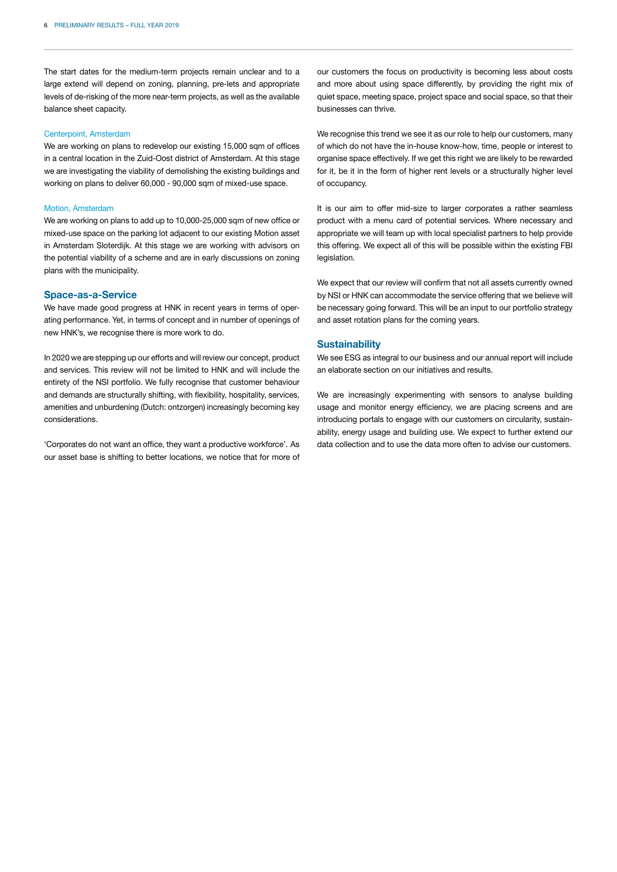The start dates for the medium-term projects remain unclear and to a large extend will depend on zoning, planning, pre-lets and appropriate levels of de-risking of the more near-term projects, as well as the available balance sheet capacity.

#### Centerpoint, Amsterdam

We are working on plans to redevelop our existing 15,000 sqm of offices in a central location in the Zuid-Oost district of Amsterdam. At this stage we are investigating the viability of demolishing the existing buildings and working on plans to deliver 60,000 - 90,000 sqm of mixed-use space.

#### Motion, Amsterdam

We are working on plans to add up to 10,000-25,000 sqm of new office or mixed-use space on the parking lot adjacent to our existing Motion asset in Amsterdam Sloterdijk. At this stage we are working with advisors on the potential viability of a scheme and are in early discussions on zoning plans with the municipality.

#### **Space-as-a-Service**

We have made good progress at HNK in recent years in terms of operating performance. Yet, in terms of concept and in number of openings of new HNK's, we recognise there is more work to do.

In 2020 we are stepping up our efforts and will review our concept, product and services. This review will not be limited to HNK and will include the entirety of the NSI portfolio. We fully recognise that customer behaviour and demands are structurally shifting, with flexibility, hospitality, services, amenities and unburdening (Dutch: ontzorgen) increasingly becoming key considerations.

'Corporates do not want an office, they want a productive workforce'. As our asset base is shifting to better locations, we notice that for more of our customers the focus on productivity is becoming less about costs and more about using space differently, by providing the right mix of quiet space, meeting space, project space and social space, so that their businesses can thrive.

We recognise this trend we see it as our role to help our customers, many of which do not have the in-house know-how, time, people or interest to organise space effectively. If we get this right we are likely to be rewarded for it, be it in the form of higher rent levels or a structurally higher level of occupancy.

It is our aim to offer mid-size to larger corporates a rather seamless product with a menu card of potential services. Where necessary and appropriate we will team up with local specialist partners to help provide this offering. We expect all of this will be possible within the existing FBI legislation.

We expect that our review will confirm that not all assets currently owned by NSI or HNK can accommodate the service offering that we believe will be necessary going forward. This will be an input to our portfolio strategy and asset rotation plans for the coming years.

#### **Sustainability**

We see ESG as integral to our business and our annual report will include an elaborate section on our initiatives and results.

We are increasingly experimenting with sensors to analyse building usage and monitor energy efficiency, we are placing screens and are introducing portals to engage with our customers on circularity, sustainability, energy usage and building use. We expect to further extend our data collection and to use the data more often to advise our customers.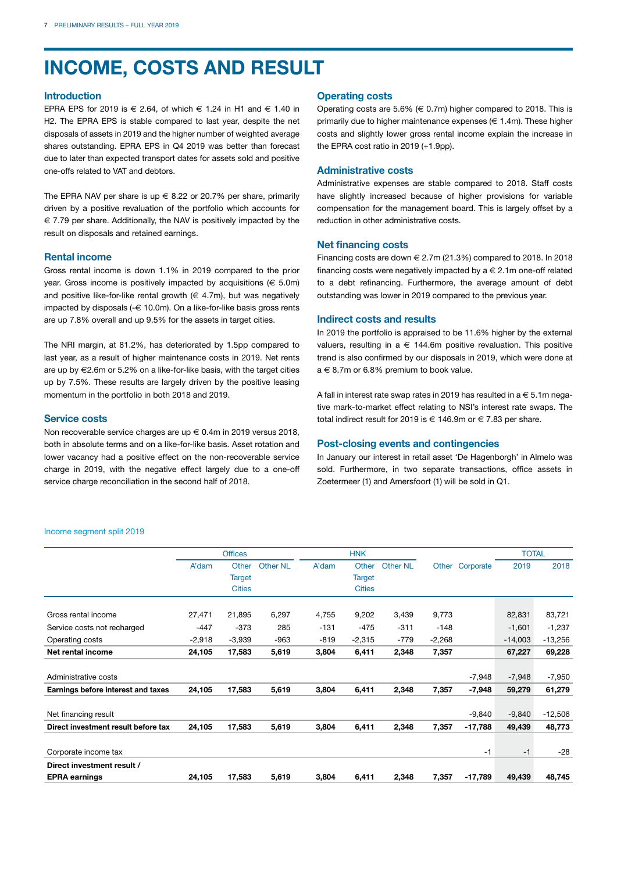# **INCOME, COSTS AND RESULT**

#### **Introduction**

EPRA EPS for 2019 is  $\in$  2.64, of which  $\in$  1.24 in H1 and  $\in$  1.40 in H2. The EPRA EPS is stable compared to last year, despite the net disposals of assets in 2019 and the higher number of weighted average shares outstanding. EPRA EPS in Q4 2019 was better than forecast due to later than expected transport dates for assets sold and positive one-offs related to VAT and debtors.

The EPRA NAV per share is up  $\in$  8.22 or 20.7% per share, primarily driven by a positive revaluation of the portfolio which accounts for € 7.79 per share. Additionally, the NAV is positively impacted by the result on disposals and retained earnings.

#### **Rental income**

Gross rental income is down 1.1% in 2019 compared to the prior year. Gross income is positively impacted by acquisitions ( $\in$  5.0m) and positive like-for-like rental growth  $(\in 4.7m)$ , but was negatively impacted by disposals (-€ 10.0m). On a like-for-like basis gross rents are up 7.8% overall and up 9.5% for the assets in target cities.

The NRI margin, at 81.2%, has deteriorated by 1.5pp compared to last year, as a result of higher maintenance costs in 2019. Net rents are up by €2.6m or 5.2% on a like-for-like basis, with the target cities up by 7.5%. These results are largely driven by the positive leasing momentum in the portfolio in both 2018 and 2019.

#### **Service costs**

Non recoverable service charges are up € 0.4m in 2019 versus 2018, both in absolute terms and on a like-for-like basis. Asset rotation and lower vacancy had a positive effect on the non-recoverable service charge in 2019, with the negative effect largely due to a one-off service charge reconciliation in the second half of 2018.

#### **Operating costs**

Operating costs are 5.6% ( $\in$  0.7m) higher compared to 2018. This is primarily due to higher maintenance expenses  $(\epsilon 1.4m)$ . These higher costs and slightly lower gross rental income explain the increase in the EPRA cost ratio in 2019 (+1.9pp).

#### **Administrative costs**

Administrative expenses are stable compared to 2018. Staff costs have slightly increased because of higher provisions for variable compensation for the management board. This is largely offset by a reduction in other administrative costs.

#### **Net financing costs**

Financing costs are down  $\in$  2.7m (21.3%) compared to 2018. In 2018 financing costs were negatively impacted by  $a \in 2.1$ m one-off related to a debt refinancing. Furthermore, the average amount of debt outstanding was lower in 2019 compared to the previous year.

#### **Indirect costs and results**

In 2019 the portfolio is appraised to be 11.6% higher by the external valuers, resulting in a  $\epsilon$  144.6m positive revaluation. This positive trend is also confirmed by our disposals in 2019, which were done at  $a \in 8.7$ m or 6.8% premium to book value.

A fall in interest rate swap rates in 2019 has resulted in  $a \in 5.1$ m negative mark-to-market effect relating to NSI's interest rate swaps. The total indirect result for 2019 is  $\in$  146.9m or  $\in$  7.83 per share.

#### **Post-closing events and contingencies**

In January our interest in retail asset 'De Hagenborgh' in Almelo was sold. Furthermore, in two separate transactions, office assets in Zoetermeer (1) and Amersfoort (1) will be sold in Q1.

#### Income segment split 2019

|                                     |          | <b>Offices</b> |                 |        | <b>HNK</b>    |                 |          |           | <b>TOTAL</b> |           |
|-------------------------------------|----------|----------------|-----------------|--------|---------------|-----------------|----------|-----------|--------------|-----------|
|                                     | A'dam    | Other          | <b>Other NL</b> | A'dam  | Other         | <b>Other NL</b> | Other    | Corporate | 2019         | 2018      |
|                                     |          | <b>Target</b>  |                 |        | <b>Target</b> |                 |          |           |              |           |
|                                     |          | <b>Cities</b>  |                 |        | <b>Cities</b> |                 |          |           |              |           |
|                                     |          |                |                 |        |               |                 |          |           |              |           |
| Gross rental income                 | 27,471   | 21,895         | 6,297           | 4,755  | 9,202         | 3,439           | 9,773    |           | 82,831       | 83,721    |
| Service costs not recharged         | $-447$   | $-373$         | 285             | $-131$ | $-475$        | $-311$          | $-148$   |           | $-1,601$     | $-1,237$  |
| Operating costs                     | $-2,918$ | $-3,939$       | $-963$          | $-819$ | $-2,315$      | $-779$          | $-2,268$ |           | $-14,003$    | $-13,256$ |
| Net rental income                   | 24,105   | 17,583         | 5,619           | 3,804  | 6,411         | 2,348           | 7,357    |           | 67,227       | 69,228    |
|                                     |          |                |                 |        |               |                 |          |           |              |           |
| Administrative costs                |          |                |                 |        |               |                 |          | $-7,948$  | $-7,948$     | $-7,950$  |
| Earnings before interest and taxes  | 24,105   | 17,583         | 5,619           | 3,804  | 6,411         | 2,348           | 7,357    | -7,948    | 59,279       | 61,279    |
|                                     |          |                |                 |        |               |                 |          |           |              |           |
| Net financing result                |          |                |                 |        |               |                 |          | $-9,840$  | $-9,840$     | $-12,506$ |
| Direct investment result before tax | 24,105   | 17,583         | 5,619           | 3,804  | 6,411         | 2,348           | 7,357    | -17,788   | 49,439       | 48,773    |
|                                     |          |                |                 |        |               |                 |          |           |              |           |
| Corporate income tax                |          |                |                 |        |               |                 |          | $-1$      | $-1$         | $-28$     |
| Direct investment result /          |          |                |                 |        |               |                 |          |           |              |           |
| <b>EPRA earnings</b>                | 24,105   | 17,583         | 5,619           | 3,804  | 6,411         | 2,348           | 7,357    | $-17,789$ | 49,439       | 48,745    |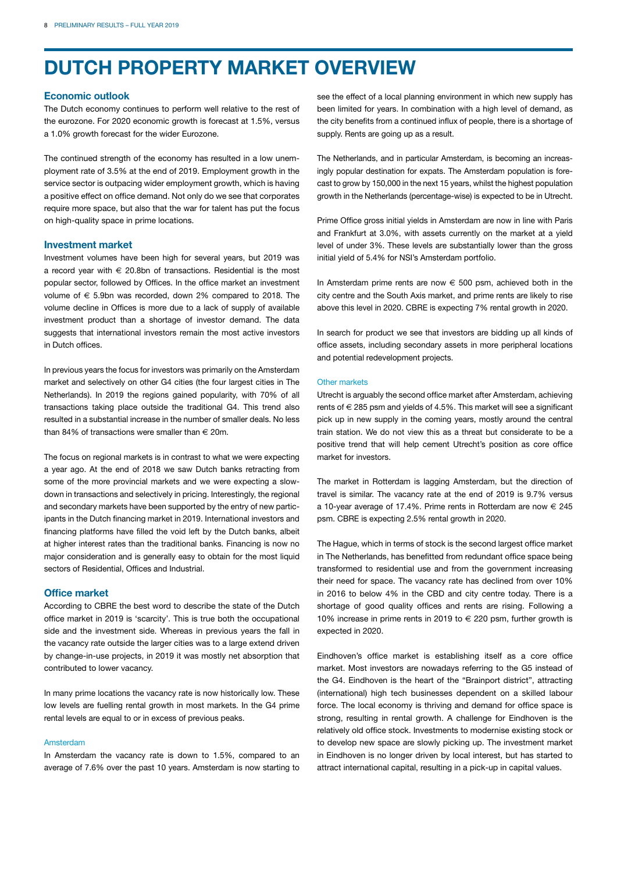# **DUTCH PROPERTY MARKET OVERVIEW**

#### **Economic outlook**

The Dutch economy continues to perform well relative to the rest of the eurozone. For 2020 economic growth is forecast at 1.5%, versus a 1.0% growth forecast for the wider Eurozone.

The continued strength of the economy has resulted in a low unemployment rate of 3.5% at the end of 2019. Employment growth in the service sector is outpacing wider employment growth, which is having a positive effect on office demand. Not only do we see that corporates require more space, but also that the war for talent has put the focus on high-quality space in prime locations.

#### **Investment market**

Investment volumes have been high for several years, but 2019 was a record year with  $\epsilon$  20.8bn of transactions. Residential is the most popular sector, followed by Offices. In the office market an investment volume of  $\epsilon$  5.9bn was recorded, down 2% compared to 2018. The volume decline in Offices is more due to a lack of supply of available investment product than a shortage of investor demand. The data suggests that international investors remain the most active investors in Dutch offices.

In previous years the focus for investors was primarily on the Amsterdam market and selectively on other G4 cities (the four largest cities in The Netherlands). In 2019 the regions gained popularity, with 70% of all transactions taking place outside the traditional G4. This trend also resulted in a substantial increase in the number of smaller deals. No less than 84% of transactions were smaller than  $\in$  20m.

The focus on regional markets is in contrast to what we were expecting a year ago. At the end of 2018 we saw Dutch banks retracting from some of the more provincial markets and we were expecting a slowdown in transactions and selectively in pricing. Interestingly, the regional and secondary markets have been supported by the entry of new participants in the Dutch financing market in 2019. International investors and financing platforms have filled the void left by the Dutch banks, albeit at higher interest rates than the traditional banks. Financing is now no major consideration and is generally easy to obtain for the most liquid sectors of Residential, Offices and Industrial.

#### **Office market**

According to CBRE the best word to describe the state of the Dutch office market in 2019 is 'scarcity'. This is true both the occupational side and the investment side. Whereas in previous years the fall in the vacancy rate outside the larger cities was to a large extend driven by change-in-use projects, in 2019 it was mostly net absorption that contributed to lower vacancy.

In many prime locations the vacancy rate is now historically low. These low levels are fuelling rental growth in most markets. In the G4 prime rental levels are equal to or in excess of previous peaks.

#### Amsterdam

In Amsterdam the vacancy rate is down to 1.5%, compared to an average of 7.6% over the past 10 years. Amsterdam is now starting to see the effect of a local planning environment in which new supply has been limited for years. In combination with a high level of demand, as the city benefits from a continued influx of people, there is a shortage of supply. Rents are going up as a result.

The Netherlands, and in particular Amsterdam, is becoming an increasingly popular destination for expats. The Amsterdam population is forecast to grow by 150,000 in the next 15 years, whilst the highest population growth in the Netherlands (percentage-wise) is expected to be in Utrecht.

Prime Office gross initial yields in Amsterdam are now in line with Paris and Frankfurt at 3.0%, with assets currently on the market at a yield level of under 3%. These levels are substantially lower than the gross initial yield of 5.4% for NSI's Amsterdam portfolio.

In Amsterdam prime rents are now  $\epsilon$  500 psm, achieved both in the city centre and the South Axis market, and prime rents are likely to rise above this level in 2020. CBRE is expecting 7% rental growth in 2020.

In search for product we see that investors are bidding up all kinds of office assets, including secondary assets in more peripheral locations and potential redevelopment projects.

#### Other markets

Utrecht is arguably the second office market after Amsterdam, achieving rents of  $\in$  285 psm and yields of 4.5%. This market will see a significant pick up in new supply in the coming years, mostly around the central train station. We do not view this as a threat but considerate to be a positive trend that will help cement Utrecht's position as core office market for investors.

The market in Rotterdam is lagging Amsterdam, but the direction of travel is similar. The vacancy rate at the end of 2019 is 9.7% versus a 10-year average of 17.4%. Prime rents in Rotterdam are now  $\in$  245 psm. CBRE is expecting 2.5% rental growth in 2020.

The Hague, which in terms of stock is the second largest office market in The Netherlands, has benefitted from redundant office space being transformed to residential use and from the government increasing their need for space. The vacancy rate has declined from over 10% in 2016 to below 4% in the CBD and city centre today. There is a shortage of good quality offices and rents are rising. Following a 10% increase in prime rents in 2019 to € 220 psm, further growth is expected in 2020.

Eindhoven's office market is establishing itself as a core office market. Most investors are nowadays referring to the G5 instead of the G4. Eindhoven is the heart of the "Brainport district", attracting (international) high tech businesses dependent on a skilled labour force. The local economy is thriving and demand for office space is strong, resulting in rental growth. A challenge for Eindhoven is the relatively old office stock. Investments to modernise existing stock or to develop new space are slowly picking up. The investment market in Eindhoven is no longer driven by local interest, but has started to attract international capital, resulting in a pick-up in capital values.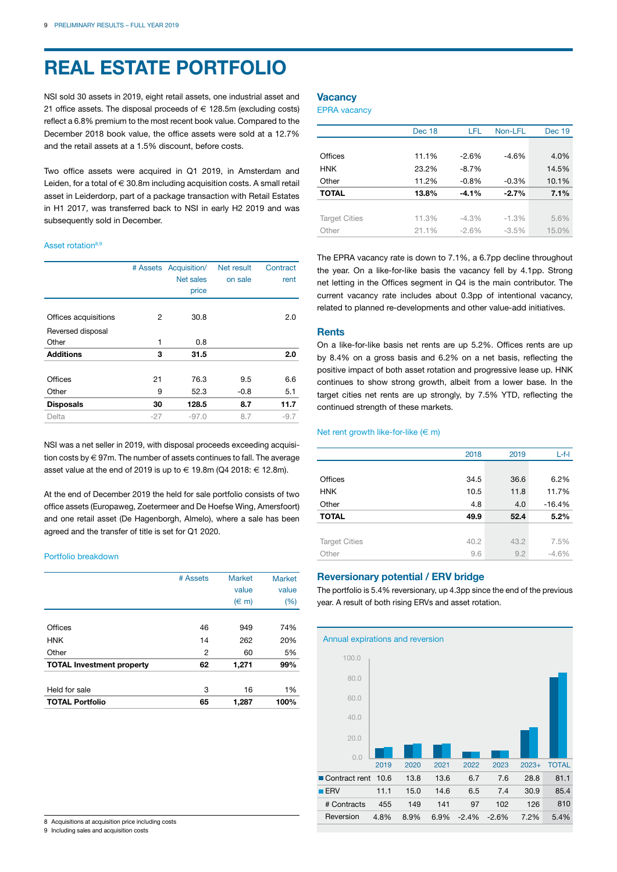# **REAL ESTATE PORTFOLIO**

NSI sold 30 assets in 2019, eight retail assets, one industrial asset and 21 office assets. The disposal proceeds of € 128.5m (excluding costs) reflect a 6.8% premium to the most recent book value. Compared to the December 2018 book value, the office assets were sold at a 12.7% and the retail assets at a 1.5% discount, before costs.

Two office assets were acquired in Q1 2019, in Amsterdam and Leiden, for a total of  $\in$  30.8m including acquisition costs. A small retail asset in Leiderdorp, part of a package transaction with Retail Estates in H1 2017, was transferred back to NSI in early H2 2019 and was subsequently sold in December.

#### Asset rotation<sup>8,9</sup>

|                      |       | # Assets Acquisition/<br>Net sales<br>price | Net result<br>on sale | Contract<br>rent |
|----------------------|-------|---------------------------------------------|-----------------------|------------------|
| Offices acquisitions | 2     | 30.8                                        |                       | 2.0              |
| Reversed disposal    |       |                                             |                       |                  |
| Other                | 1     | 0.8                                         |                       |                  |
| <b>Additions</b>     | 3     | 31.5                                        |                       | 2.0              |
|                      |       |                                             |                       |                  |
| Offices              | 21    | 76.3                                        | 9.5                   | 6.6              |
| Other                | 9     | 52.3                                        | $-0.8$                | 5.1              |
| <b>Disposals</b>     | 30    | 128.5                                       | 8.7                   | 11.7             |
| Delta                | $-27$ | $-97.0$                                     | 8.7                   | $-9.7$           |
|                      |       |                                             |                       |                  |

NSI was a net seller in 2019, with disposal proceeds exceeding acquisition costs by € 97m. The number of assets continues to fall. The average asset value at the end of 2019 is up to € 19.8m (Q4 2018:  $∈$  12.8m).

At the end of December 2019 the held for sale portfolio consists of two office assets (Europaweg, Zoetermeer and De Hoefse Wing, Amersfoort) and one retail asset (De Hagenborgh, Almelo), where a sale has been agreed and the transfer of title is set for Q1 2020.

#### Portfolio breakdown

|                                  | # Assets | <b>Market</b>      | <b>Market</b> |
|----------------------------------|----------|--------------------|---------------|
|                                  |          |                    |               |
|                                  |          | value              | value         |
|                                  |          | $(\in \mathsf{m})$ | $(\% )$       |
|                                  |          |                    |               |
| Offices                          | 46       | 949                | 74%           |
| <b>HNK</b>                       | 14       | 262                | 20%           |
| Other                            | 2        | 60                 | 5%            |
| <b>TOTAL Investment property</b> | 62       | 1,271              | 99%           |
| Held for sale                    | 3        | 16                 | 1%            |
| <b>TOTAL Portfolio</b>           | 65       | 1,287              | 100%          |

### **Vacancy**

EPRA vacancy

|                      | Dec 18 | LFL      | Non-LFL  | <b>Dec 19</b> |
|----------------------|--------|----------|----------|---------------|
|                      |        |          |          |               |
| Offices              | 11.1%  | $-2.6%$  | $-4.6%$  | 4.0%          |
| <b>HNK</b>           | 23.2%  | $-8.7%$  |          | 14.5%         |
| Other                | 11.2%  | $-0.8%$  | $-0.3%$  | 10.1%         |
| <b>TOTAL</b>         | 13.8%  | $-4.1%$  | $-2.7%$  | 7.1%          |
|                      |        |          |          |               |
| <b>Target Cities</b> | 11.3%  | $-4.3\%$ | $-1.3%$  | 5.6%          |
| Other                | 21.1%  | $-2.6%$  | $-3.5\%$ | 15.0%         |

The EPRA vacancy rate is down to 7.1%, a 6.7pp decline throughout the year. On a like-for-like basis the vacancy fell by 4.1pp. Strong net letting in the Offices segment in Q4 is the main contributor. The current vacancy rate includes about 0.3pp of intentional vacancy, related to planned re-developments and other value-add initiatives.

#### **Rents**

On a like-for-like basis net rents are up 5.2%. Offices rents are up by 8.4% on a gross basis and 6.2% on a net basis, reflecting the positive impact of both asset rotation and progressive lease up. HNK continues to show strong growth, albeit from a lower base. In the target cities net rents are up strongly, by 7.5% YTD, reflecting the continued strength of these markets.

#### Net rent growth like-for-like  $(\in \mathsf{m})$

|                      | 2018 | 2019 | $L-f-I$  |
|----------------------|------|------|----------|
|                      |      |      |          |
| Offices              | 34.5 | 36.6 | 6.2%     |
| <b>HNK</b>           | 10.5 | 11.8 | 11.7%    |
| Other                | 4.8  | 4.0  | $-16.4%$ |
| <b>TOTAL</b>         | 49.9 | 52.4 | 5.2%     |
|                      |      |      |          |
| <b>Target Cities</b> | 40.2 | 43.2 | 7.5%     |
| Other                | 9.6  | 9.2  | $-4.6%$  |
|                      |      |      |          |

#### **Reversionary potential / ERV bridge**

The portfolio is 5.4% reversionary, up 4.3pp since the end of the previous year. A result of both rising ERVs and asset rotation.



9 Including sales and acquisition costs

<sup>8</sup> Acquisitions at acquisition price including costs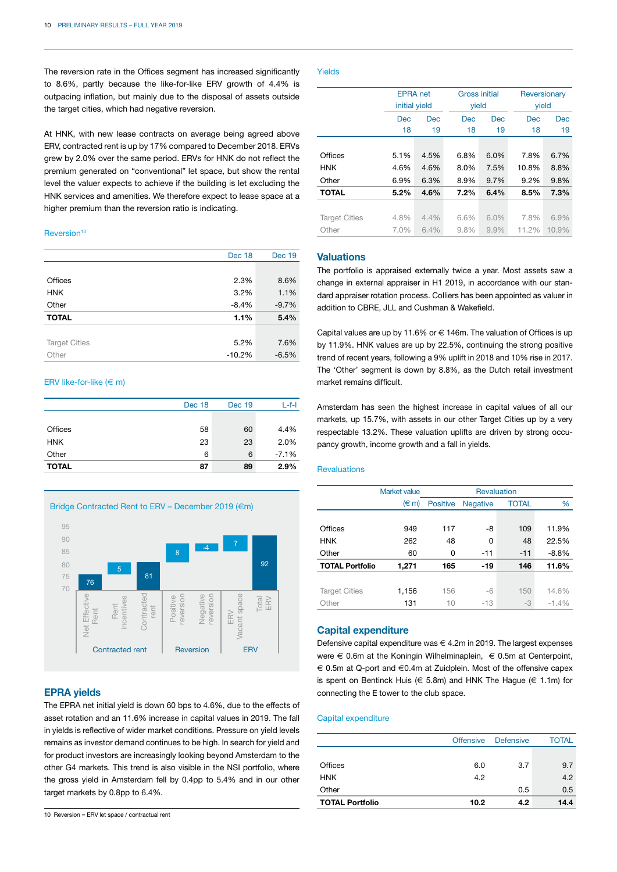The reversion rate in the Offices segment has increased significantly to 8.6%, partly because the like-for-like ERV growth of 4.4% is outpacing inflation, but mainly due to the disposal of assets outside the target cities, which had negative reversion.

At HNK, with new lease contracts on average being agreed above ERV, contracted rent is up by 17% compared to December 2018. ERVs grew by 2.0% over the same period. ERVs for HNK do not reflect the premium generated on "conventional" let space, but show the rental level the valuer expects to achieve if the building is let excluding the HNK services and amenities. We therefore expect to lease space at a higher premium than the reversion ratio is indicating.

#### Reversion<sup>10</sup>

|                      | Dec 18   | <b>Dec 19</b> |
|----------------------|----------|---------------|
|                      |          |               |
| Offices              | 2.3%     | 8.6%          |
| <b>HNK</b>           | 3.2%     | 1.1%          |
| Other                | $-8.4%$  | $-9.7%$       |
| <b>TOTAL</b>         | 1.1%     | 5.4%          |
|                      |          |               |
| <b>Target Cities</b> | 5.2%     | 7.6%          |
| Other                | $-10.2%$ | $-6.5%$       |

#### ERV like-for-like  $(\in \mathsf{m})$

|              | Dec 18 | <b>Dec 19</b> | $L-f-I$ |
|--------------|--------|---------------|---------|
|              |        |               |         |
| Offices      | 58     | 60            | 4.4%    |
| <b>HNK</b>   | 23     | 23            | 2.0%    |
| Other        | 6      | 6             | $-7.1%$ |
| <b>TOTAL</b> | 87     | 89            | 2.9%    |





#### **EPRA yields**

The EPRA net initial yield is down 60 bps to 4.6%, due to the effects of asset rotation and an 11.6% increase in capital values in 2019. The fall in yields is reflective of wider market conditions. Pressure on yield levels remains as investor demand continues to be high. In search for yield and for product investors are increasingly looking beyond Amsterdam to the other G4 markets. This trend is also visible in the NSI portfolio, where the gross yield in Amsterdam fell by 0.4pp to 5.4% and in our other target markets by 0.8pp to 6.4%.

#### Yields

|                      |            | <b>EPRA</b> net<br>initial yield |            | <b>Gross initial</b><br>yield |       | Reversionary<br>yield |  |
|----------------------|------------|----------------------------------|------------|-------------------------------|-------|-----------------------|--|
|                      | <b>Dec</b> | <b>Dec</b>                       | <b>Dec</b> | <b>Dec</b>                    |       | <b>Dec</b>            |  |
|                      | 18         | 19                               | 18         | 19                            | 18    | 19                    |  |
|                      |            |                                  |            |                               |       |                       |  |
| Offices              | 5.1%       | 4.5%                             | 6.8%       | 6.0%                          | 7.8%  | 6.7%                  |  |
| <b>HNK</b>           | 4.6%       | 4.6%                             | 8.0%       | 7.5%                          | 10.8% | 8.8%                  |  |
| Other                | 6.9%       | 6.3%                             | 8.9%       | 9.7%                          | 9.2%  | 9.8%                  |  |
| <b>TOTAL</b>         | 5.2%       | 4.6%                             | 7.2%       | 6.4%                          | 8.5%  | 7.3%                  |  |
|                      |            |                                  |            |                               |       |                       |  |
| <b>Target Cities</b> | 4.8%       | 4.4%                             | 6.6%       | 6.0%                          | 7.8%  | 6.9%                  |  |
| Other                | 7.0%       | 6.4%                             | 9.8%       | 9.9%                          | 11.2% | 10.9%                 |  |

#### **Valuations**

The portfolio is appraised externally twice a year. Most assets saw a change in external appraiser in H1 2019, in accordance with our standard appraiser rotation process. Colliers has been appointed as valuer in addition to CBRE, JLL and Cushman & Wakefield.

Capital values are up by 11.6% or  $\in$  146m. The valuation of Offices is up by 11.9%. HNK values are up by 22.5%, continuing the strong positive trend of recent years, following a 9% uplift in 2018 and 10% rise in 2017. The 'Other' segment is down by 8.8%, as the Dutch retail investment market remains difficult.

Amsterdam has seen the highest increase in capital values of all our markets, up 15.7%, with assets in our other Target Cities up by a very respectable 13.2%. These valuation uplifts are driven by strong occupancy growth, income growth and a fall in yields.

#### Revaluations

|                        | Market value<br><b>Revaluation</b> |                 |                 |              |         |
|------------------------|------------------------------------|-----------------|-----------------|--------------|---------|
|                        | $(\in \mathsf{m})$                 | <b>Positive</b> | <b>Negative</b> | <b>TOTAL</b> | %       |
|                        |                                    |                 |                 |              |         |
| Offices                | 949                                | 117             | -8              | 109          | 11.9%   |
| <b>HNK</b>             | 262                                | 48              | 0               | 48           | 22.5%   |
| Other                  | 60                                 | 0               | $-11$           | $-11$        | $-8.8%$ |
| <b>TOTAL Portfolio</b> | 1,271                              | 165             | $-19$           | 146          | 11.6%   |
|                        |                                    |                 |                 |              |         |
| <b>Target Cities</b>   | 1,156                              | 156             | -6              | 150          | 14.6%   |
| Other                  | 131                                | 10              | $-13$           | $-3$         | $-1.4%$ |

#### **Capital expenditure**

Defensive capital expenditure was  $\in$  4.2m in 2019. The largest expenses were € 0.6m at the Koningin Wilhelminaplein, € 0.5m at Centerpoint, € 0.5m at Q-port and €0.4m at Zuidplein. Most of the offensive capex is spent on Bentinck Huis ( $\in$  5.8m) and HNK The Hague ( $\in$  1.1m) for connecting the E tower to the club space.

#### Capital expenditure

|                        | <b>Offensive</b> | <b>Defensive</b> | <b>TOTAL</b> |
|------------------------|------------------|------------------|--------------|
|                        |                  |                  |              |
| Offices                | 6.0              | 3.7              | 9.7          |
| <b>HNK</b>             | 4.2              |                  | 4.2          |
| Other                  |                  | 0.5              | 0.5          |
| <b>TOTAL Portfolio</b> | 10.2             | 4.2              | 14.4         |

<sup>10</sup> Reversion = ERV let space / contractual rent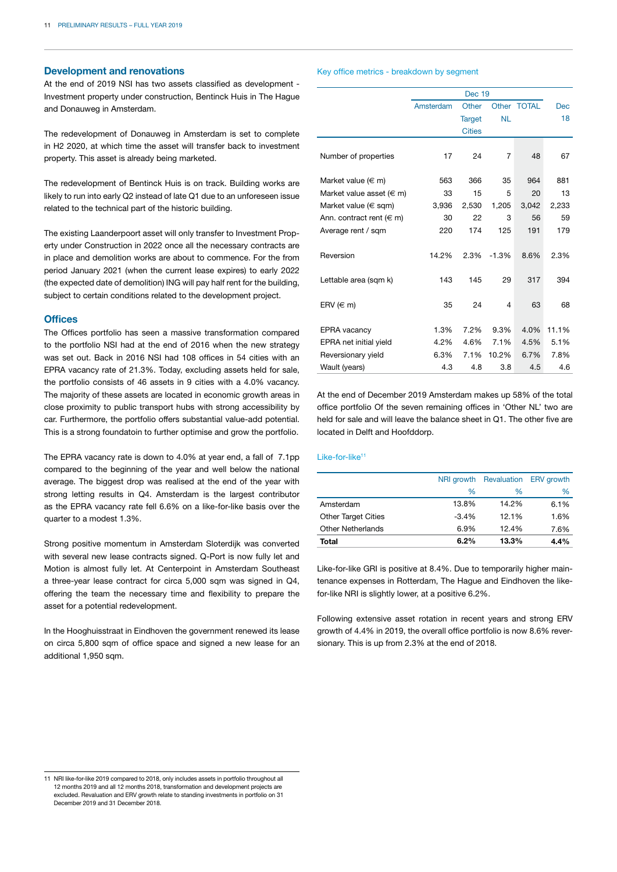#### **Development and renovations**

At the end of 2019 NSI has two assets classified as development - Investment property under construction, Bentinck Huis in The Hague and Donauweg in Amsterdam.

The redevelopment of Donauweg in Amsterdam is set to complete in H2 2020, at which time the asset will transfer back to investment property. This asset is already being marketed.

The redevelopment of Bentinck Huis is on track. Building works are likely to run into early Q2 instead of late Q1 due to an unforeseen issue related to the technical part of the historic building.

The existing Laanderpoort asset will only transfer to Investment Property under Construction in 2022 once all the necessary contracts are in place and demolition works are about to commence. For the from period January 2021 (when the current lease expires) to early 2022 (the expected date of demolition) ING will pay half rent for the building, subject to certain conditions related to the development project.

#### **Offices**

The Offices portfolio has seen a massive transformation compared to the portfolio NSI had at the end of 2016 when the new strategy was set out. Back in 2016 NSI had 108 offices in 54 cities with an EPRA vacancy rate of 21.3%. Today, excluding assets held for sale, the portfolio consists of 46 assets in 9 cities with a 4.0% vacancy. The majority of these assets are located in economic growth areas in close proximity to public transport hubs with strong accessibility by car. Furthermore, the portfolio offers substantial value-add potential. This is a strong foundatoin to further optimise and grow the portfolio.

The EPRA vacancy rate is down to 4.0% at year end, a fall of 7.1pp compared to the beginning of the year and well below the national average. The biggest drop was realised at the end of the year with strong letting results in Q4. Amsterdam is the largest contributor as the EPRA vacancy rate fell 6.6% on a like-for-like basis over the quarter to a modest 1.3%.

Strong positive momentum in Amsterdam Sloterdijk was converted with several new lease contracts signed. Q-Port is now fully let and Motion is almost fully let. At Centerpoint in Amsterdam Southeast a three-year lease contract for circa 5,000 sqm was signed in Q4, offering the team the necessary time and flexibility to prepare the asset for a potential redevelopment.

In the Hooghuisstraat in Eindhoven the government renewed its lease on circa 5,800 sqm of office space and signed a new lease for an additional 1.950 sqm.

#### Key office metrics - breakdown by segment

|                                 |           | <b>Dec 19</b> |           |             |            |
|---------------------------------|-----------|---------------|-----------|-------------|------------|
|                                 | Amsterdam | Other         |           | Other TOTAL | <b>Dec</b> |
|                                 |           | <b>Target</b> | <b>NL</b> |             | 18         |
|                                 |           | <b>Cities</b> |           |             |            |
|                                 |           |               |           |             |            |
| Number of properties            | 17        | 24            | 7         | 48          | 67         |
|                                 |           |               |           |             |            |
| Market value $(\in \mathsf{m})$ | 563       | 366           | 35        | 964         | 881        |
| Market value asset ( $\in$ m)   | 33        | 15            | 5         | 20          | 13         |
| Market value ( $\in$ sqm)       | 3,936     | 2,530         | 1,205     | 3,042       | 2,233      |
| Ann. contract rent ( $\in$ m)   | 30        | 22            | 3         | 56          | 59         |
| Average rent / sqm              | 220       | 174           | 125       | 191         | 179        |
|                                 |           |               |           |             |            |
| Reversion                       | 14.2%     | 2.3%          | $-1.3%$   | 8.6%        | 2.3%       |
|                                 |           |               |           |             |            |
| Lettable area (sqm k)           | 143       | 145           | 29        | 317         | 394        |
|                                 |           |               |           |             |            |
| ERV $(\in \mathsf{m})$          | 35        | 24            | 4         | 63          | 68         |
|                                 |           |               |           |             |            |
| <b>EPRA</b> vacancy             | 1.3%      | 7.2%          | 9.3%      | 4.0%        | 11.1%      |
| EPRA net initial yield          | 4.2%      | 4.6%          | 7.1%      | 4.5%        | 5.1%       |
| Reversionary yield              | 6.3%      | 7.1%          | 10.2%     | 6.7%        | 7.8%       |
| Wault (years)                   | 4.3       | 4.8           | 3.8       | 4.5         | 4.6        |

At the end of December 2019 Amsterdam makes up 58% of the total office portfolio Of the seven remaining offices in 'Other NL' two are held for sale and will leave the balance sheet in Q1. The other five are located in Delft and Hoofddorp.

#### Like-for-like11

|                            | NRI growth | Revaluation | <b>ERV</b> growth |
|----------------------------|------------|-------------|-------------------|
|                            | $\%$       | $\%$        | $\%$              |
| Amsterdam                  | 13.8%      | 14.2%       | 6.1%              |
| <b>Other Target Cities</b> | $-3.4%$    | 12.1%       | 1.6%              |
| <b>Other Netherlands</b>   | 6.9%       | 12.4%       | 7.6%              |
| Total                      | 6.2%       | 13.3%       | 4.4%              |

Like-for-like GRI is positive at 8.4%. Due to temporarily higher maintenance expenses in Rotterdam, The Hague and Eindhoven the likefor-like NRI is slightly lower, at a positive 6.2%.

Following extensive asset rotation in recent years and strong ERV growth of 4.4% in 2019, the overall office portfolio is now 8.6% reversionary. This is up from 2.3% at the end of 2018.

<sup>11</sup> NRI like-for-like 2019 compared to 2018, only includes assets in portfolio throughout all 12 months 2019 and all 12 months 2018, transformation and development projects are excluded. Revaluation and ERV growth relate to standing investments in portfolio on 31 December 2019 and 31 December 2018.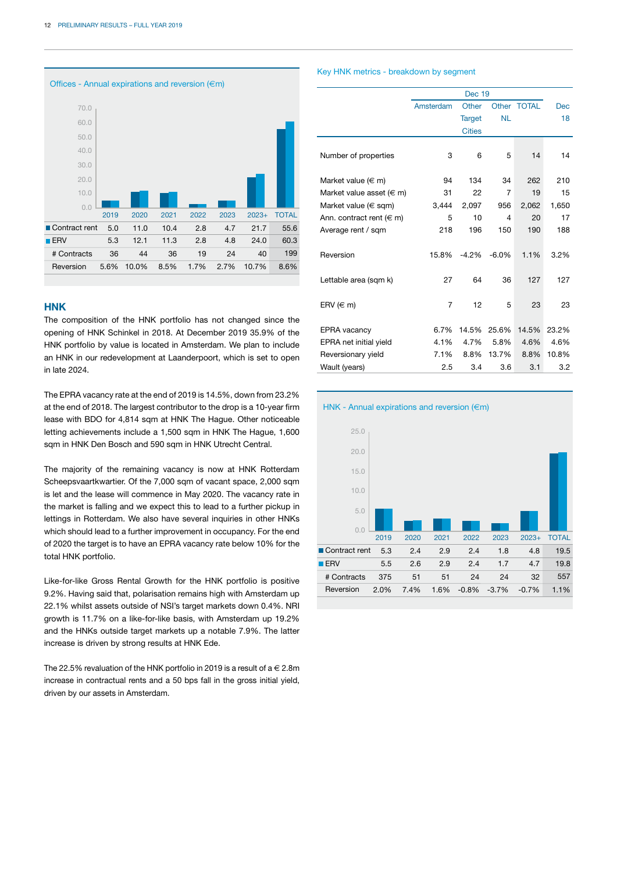

#### **HNK**

The composition of the HNK portfolio has not changed since the opening of HNK Schinkel in 2018. At December 2019 35.9% of the HNK portfolio by value is located in Amsterdam. We plan to include an HNK in our redevelopment at Laanderpoort, which is set to open in late 2024.

The EPRA vacancy rate at the end of 2019 is 14.5%, down from 23.2% at the end of 2018. The largest contributor to the drop is a 10-year firm lease with BDO for 4,814 sqm at HNK The Hague. Other noticeable letting achievements include a 1,500 sqm in HNK The Hague, 1,600 sqm in HNK Den Bosch and 590 sqm in HNK Utrecht Central.

The majority of the remaining vacancy is now at HNK Rotterdam Scheepsvaartkwartier. Of the 7,000 sqm of vacant space, 2,000 sqm is let and the lease will commence in May 2020. The vacancy rate in the market is falling and we expect this to lead to a further pickup in lettings in Rotterdam. We also have several inquiries in other HNKs which should lead to a further improvement in occupancy. For the end of 2020 the target is to have an EPRA vacancy rate below 10% for the total HNK portfolio.

Like-for-like Gross Rental Growth for the HNK portfolio is positive 9.2%. Having said that, polarisation remains high with Amsterdam up 22.1% whilst assets outside of NSI's target markets down 0.4%. NRI growth is 11.7% on a like-for-like basis, with Amsterdam up 19.2% and the HNKs outside target markets up a notable 7.9%. The latter increase is driven by strong results at HNK Ede.

The 22.5% revaluation of the HNK portfolio in 2019 is a result of  $a \in 2.8$ m increase in contractual rents and a 50 bps fall in the gross initial yield, driven by our assets in Amsterdam.

#### Key HNK metrics - breakdown by segment

|                               | Amsterdam      | Other         |                | Other TOTAL | <b>Dec</b> |
|-------------------------------|----------------|---------------|----------------|-------------|------------|
|                               |                | <b>Target</b> | <b>NL</b>      |             | 18         |
|                               |                | <b>Cities</b> |                |             |            |
| Number of properties          | 3              | 6             | 5              | 14          | 14         |
| Market value ( $\in$ m)       | 94             | 134           | 34             | 262         | 210        |
| Market value asset ( $\in$ m) | 31             | 22            | $\overline{7}$ | 19          | 15         |
| Market value ( $\in$ sqm)     | 3,444          | 2,097         | 956            | 2,062       | 1,650      |
| Ann. contract rent ( $\in$ m) | 5              | 10            | 4              | 20          | 17         |
| Average rent / sqm            | 218            | 196           | 150            | 190         | 188        |
| Reversion                     | 15.8%          | $-4.2%$       | $-6.0%$        | 1.1%        | 3.2%       |
| Lettable area (sqm k)         | 27             | 64            | 36             | 127         | 127        |
| ERV ( $\in$ m)                | $\overline{7}$ | 12            | 5              | 23          | 23         |
| <b>EPRA</b> vacancy           | 6.7%           | 14.5%         | 25.6%          | 14.5%       | 23.2%      |
| EPRA net initial yield        | 4.1%           | 4.7%          | 5.8%           | 4.6%        | 4.6%       |
| Reversionary yield            | 7.1%           | 8.8%          | 13.7%          | 8.8%        | 10.8%      |
| Wault (years)                 | 2.5            | 3.4           | 3.6            | 3.1         | 3.2        |

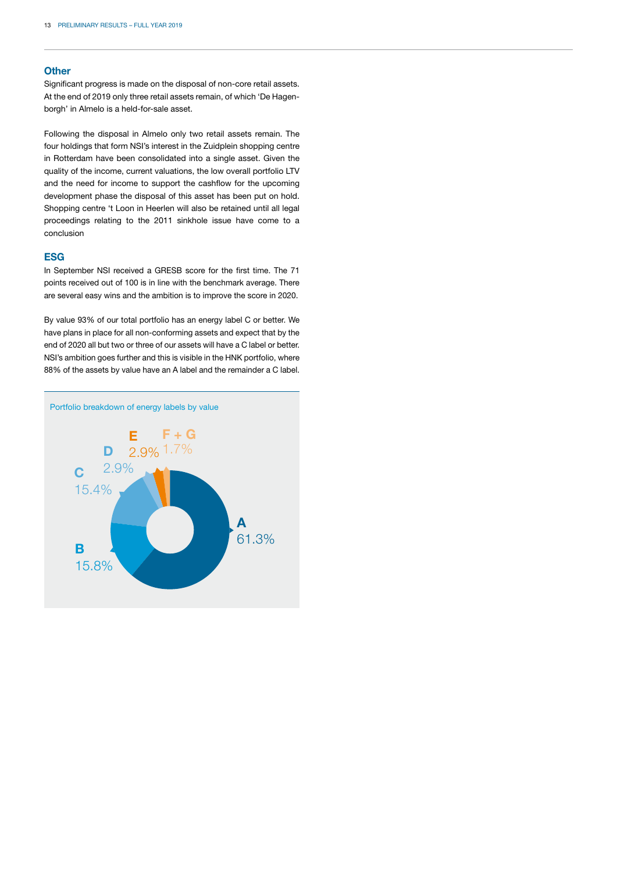#### **Other**

Significant progress is made on the disposal of non-core retail assets. At the end of 2019 only three retail assets remain, of which 'De Hagenborgh' in Almelo is a held-for-sale asset.

Following the disposal in Almelo only two retail assets remain. The four holdings that form NSI's interest in the Zuidplein shopping centre in Rotterdam have been consolidated into a single asset. Given the quality of the income, current valuations, the low overall portfolio LTV and the need for income to support the cashflow for the upcoming development phase the disposal of this asset has been put on hold. Shopping centre 't Loon in Heerlen will also be retained until all legal proceedings relating to the 2011 sinkhole issue have come to a conclusion

#### **ESG**

In September NSI received a GRESB score for the first time. The 71 points received out of 100 is in line with the benchmark average. There are several easy wins and the ambition is to improve the score in 2020.

By value 93% of our total portfolio has an energy label C or better. We have plans in place for all non-conforming assets and expect that by the end of 2020 all but two or three of our assets will have a C label or better. NSI's ambition goes further and this is visible in the HNK portfolio, where 88% of the assets by value have an A label and the remainder a C label.

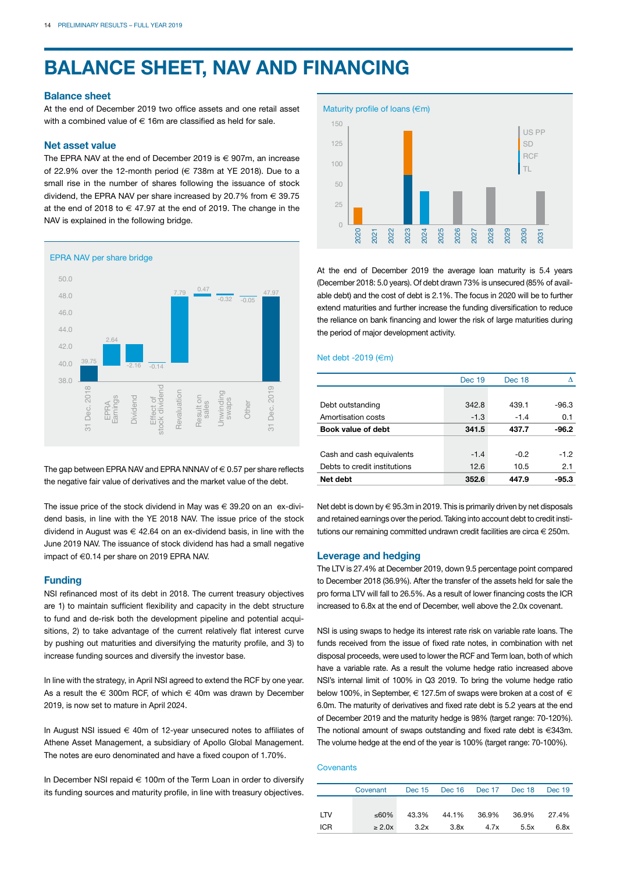# **BALANCE SHEET, NAV AND FINANCING**

#### **Balance sheet**

At the end of December 2019 two office assets and one retail asset with a combined value of  $\in$  16m are classified as held for sale.

#### **Net asset value**

The EPRA NAV at the end of December 2019 is  $\epsilon$  907m, an increase of 22.9% over the 12-month period ( $\in$  738m at YE 2018). Due to a small rise in the number of shares following the issuance of stock dividend, the EPRA NAV per share increased by 20.7% from  $\in$  39.75 at the end of 2018 to  $\in$  47.97 at the end of 2019. The change in the NAV is explained in the following bridge.



The gap between EPRA NAV and EPRA NNNAV of  $\in$  0.57 per share reflects the negative fair value of derivatives and the market value of the debt.

The issue price of the stock dividend in May was  $\in$  39.20 on an ex-dividend basis, in line with the YE 2018 NAV. The issue price of the stock dividend in August was  $\epsilon$  42.64 on an ex-dividend basis, in line with the June 2019 NAV. The issuance of stock dividend has had a small negative impact of €0.14 per share on 2019 EPRA NAV.

#### **Funding**

NSI refinanced most of its debt in 2018. The current treasury objectives are 1) to maintain sufficient flexibility and capacity in the debt structure to fund and de-risk both the development pipeline and potential acquisitions, 2) to take advantage of the current relatively flat interest curve by pushing out maturities and diversifying the maturity profile, and 3) to increase funding sources and diversify the investor base.

In line with the strategy, in April NSI agreed to extend the RCF by one year. As a result the  $\in$  300m RCF, of which  $\in$  40m was drawn by December 2019, is now set to mature in April 2024.

In August NSI issued € 40m of 12-year unsecured notes to affiliates of Athene Asset Management, a subsidiary of Apollo Global Management. The notes are euro denominated and have a fixed coupon of 1.70%.

In December NSI repaid € 100m of the Term Loan in order to diversify its funding sources and maturity profile, in line with treasury objectives.



At the end of December 2019 the average loan maturity is 5.4 years (December 2018: 5.0 years). Of debt drawn 73% is unsecured (85% of available debt) and the cost of debt is 2.1%. The focus in 2020 will be to further extend maturities and further increase the funding diversification to reduce the reliance on bank financing and lower the risk of large maturities during the period of major development activity.

#### Net debt -2019 (€m)

|                              | <b>Dec 19</b> | Dec 18 |         |
|------------------------------|---------------|--------|---------|
|                              |               |        |         |
| Debt outstanding             | 342.8         | 439.1  | $-96.3$ |
| Amortisation costs           | $-1.3$        | $-1.4$ | 0.1     |
| Book value of debt           | 341.5         | 437.7  | $-96.2$ |
|                              |               |        |         |
| Cash and cash equivalents    | $-1.4$        | $-0.2$ | $-1.2$  |
| Debts to credit institutions | 12.6          | 10.5   | 2.1     |
| Net debt                     | 352.6         | 447.9  | -95.3   |

Net debt is down by € 95.3m in 2019. This is primarily driven by net disposals and retained earnings over the period. Taking into account debt to credit institutions our remaining committed undrawn credit facilities are circa  $\in$  250m.

#### **Leverage and hedging**

The LTV is 27.4% at December 2019, down 9.5 percentage point compared to December 2018 (36.9%). After the transfer of the assets held for sale the pro forma LTV will fall to 26.5%. As a result of lower financing costs the ICR increased to 6.8x at the end of December, well above the 2.0x covenant.

NSI is using swaps to hedge its interest rate risk on variable rate loans. The funds received from the issue of fixed rate notes, in combination with net disposal proceeds, were used to lower the RCF and Term loan, both of which have a variable rate. As a result the volume hedge ratio increased above NSI's internal limit of 100% in Q3 2019. To bring the volume hedge ratio below 100%, in September,  $\in$  127.5m of swaps were broken at a cost of  $\in$ 6.0m. The maturity of derivatives and fixed rate debt is 5.2 years at the end of December 2019 and the maturity hedge is 98% (target range: 70-120%). The notional amount of swaps outstanding and fixed rate debt is €343m. The volume hedge at the end of the year is 100% (target range: 70-100%).

#### **Covenants**

|            | Covenant    |       | Dec 15 Dec 16 Dec 17 Dec 18 |       |             | Dec 19 |
|------------|-------------|-------|-----------------------------|-------|-------------|--------|
|            |             |       |                             |       |             |        |
| LTV        | ≤60%        | 43.3% | 44.1%                       | 36.9% | 36.9% 27.4% |        |
| <b>ICR</b> | $\geq 2.0x$ | 3.2x  | 3.8x                        | 4.7x  | 5.5x        | 6.8x   |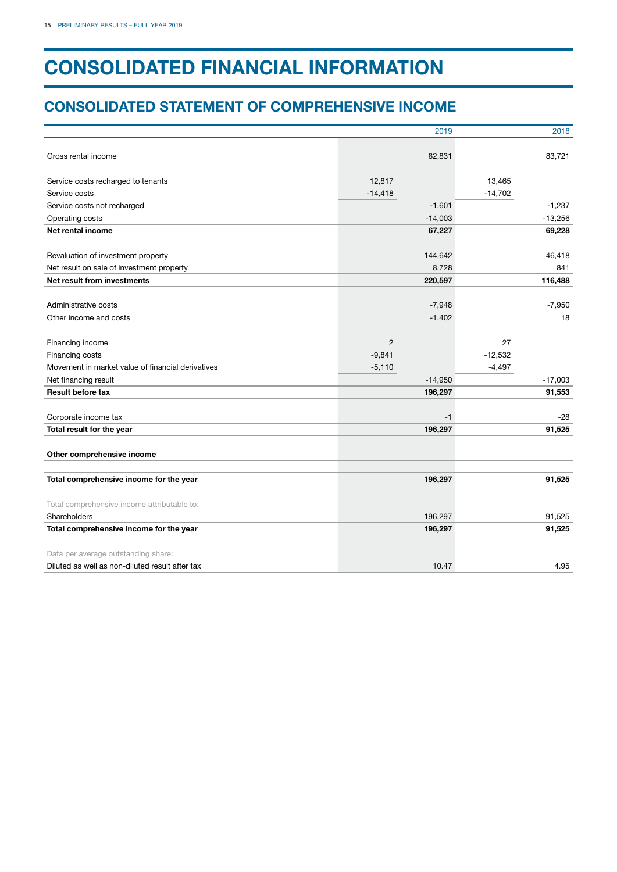# **CONSOLIDATED FINANCIAL INFORMATION**

### **CONSOLIDATED STATEMENT OF COMPREHENSIVE INCOME**

|                                                   | 2019           | 2018      |
|---------------------------------------------------|----------------|-----------|
| Gross rental income                               | 82,831         | 83,721    |
|                                                   |                |           |
| Service costs recharged to tenants                | 12,817         | 13,465    |
| Service costs                                     | $-14,418$      | $-14,702$ |
| Service costs not recharged                       | $-1,601$       | $-1,237$  |
| Operating costs                                   | $-14,003$      | $-13,256$ |
| Net rental income                                 | 67,227         | 69,228    |
|                                                   |                |           |
| Revaluation of investment property                | 144,642        | 46,418    |
| Net result on sale of investment property         | 8,728          | 841       |
| Net result from investments                       | 220,597        | 116,488   |
|                                                   |                |           |
| Administrative costs                              | $-7,948$       | $-7,950$  |
| Other income and costs                            | $-1,402$       | 18        |
| Financing income                                  | $\overline{2}$ | 27        |
| Financing costs                                   | $-9,841$       | $-12,532$ |
| Movement in market value of financial derivatives | $-5,110$       | $-4,497$  |
| Net financing result                              | $-14,950$      | $-17,003$ |
| <b>Result before tax</b>                          | 196,297        | 91,553    |
| Corporate income tax                              | $-1$           | -28       |
| Total result for the year                         | 196,297        | 91,525    |
|                                                   |                |           |
| Other comprehensive income                        |                |           |
| Total comprehensive income for the year           | 196,297        | 91,525    |
|                                                   |                |           |
| Total comprehensive income attributable to:       |                |           |
| Shareholders                                      | 196,297        | 91,525    |
| Total comprehensive income for the year           | 196,297        | 91,525    |
| Data per average outstanding share:               |                |           |
| Diluted as well as non-diluted result after tax   | 10.47          | 4.95      |
|                                                   |                |           |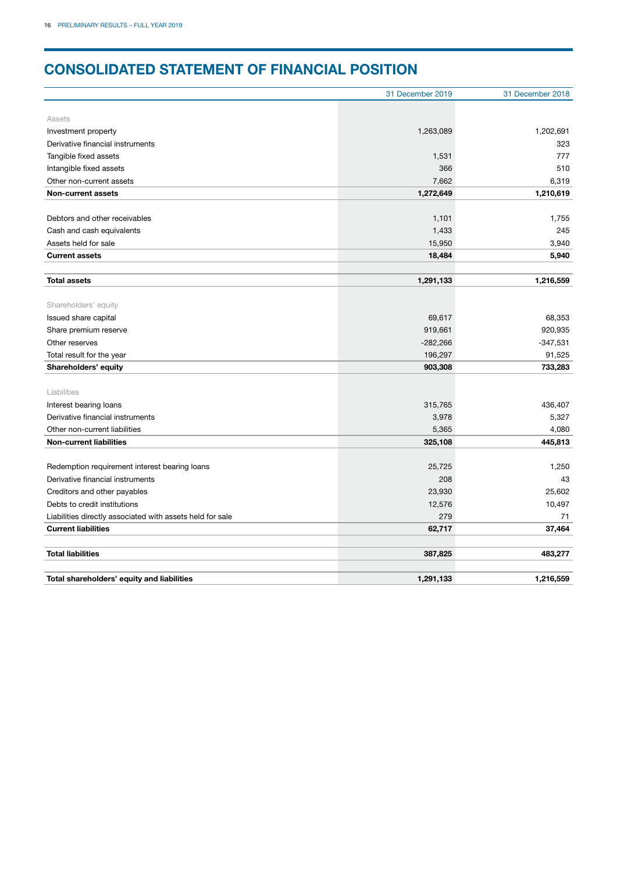# **CONSOLIDATED STATEMENT OF FINANCIAL POSITION**

|                                                           | 31 December 2019 | 31 December 2018 |
|-----------------------------------------------------------|------------------|------------------|
|                                                           |                  |                  |
| Assets                                                    |                  |                  |
| Investment property                                       | 1,263,089        | 1,202,691        |
| Derivative financial instruments                          |                  | 323              |
| Tangible fixed assets                                     | 1,531            | 777              |
| Intangible fixed assets                                   | 366              | 510              |
| Other non-current assets                                  | 7,662            | 6,319            |
| <b>Non-current assets</b>                                 | 1,272,649        | 1,210,619        |
|                                                           |                  |                  |
| Debtors and other receivables                             | 1,101            | 1,755            |
| Cash and cash equivalents                                 | 1,433            | 245              |
| Assets held for sale                                      | 15,950           | 3,940            |
| <b>Current assets</b>                                     | 18,484           | 5,940            |
|                                                           |                  |                  |
| <b>Total assets</b>                                       | 1,291,133        | 1,216,559        |
|                                                           |                  |                  |
| Shareholders' equity                                      |                  |                  |
| Issued share capital                                      | 69,617           | 68,353           |
| Share premium reserve                                     | 919,661          | 920,935          |
| Other reserves                                            | $-282,266$       | $-347,531$       |
| Total result for the year                                 | 196,297          | 91,525           |
| Shareholders' equity                                      | 903,308          | 733,283          |
|                                                           |                  |                  |
| Liabilities                                               |                  |                  |
| Interest bearing loans                                    | 315,765          | 436,407          |
| Derivative financial instruments                          | 3,978            | 5,327            |
| Other non-current liabilities                             | 5,365            | 4,080            |
| <b>Non-current liabilities</b>                            | 325,108          | 445,813          |
|                                                           |                  |                  |
| Redemption requirement interest bearing loans             | 25,725           | 1,250            |
| Derivative financial instruments                          | 208              | 43               |
| Creditors and other payables                              | 23,930           | 25,602           |
| Debts to credit institutions                              | 12,576           | 10,497           |
| Liabilities directly associated with assets held for sale | 279              | 71               |
| <b>Current liabilities</b>                                | 62,717           | 37,464           |
|                                                           |                  |                  |
| <b>Total liabilities</b>                                  | 387,825          | 483,277          |
|                                                           |                  |                  |
| Total shareholders' equity and liabilities                | 1,291,133        | 1,216,559        |
|                                                           |                  |                  |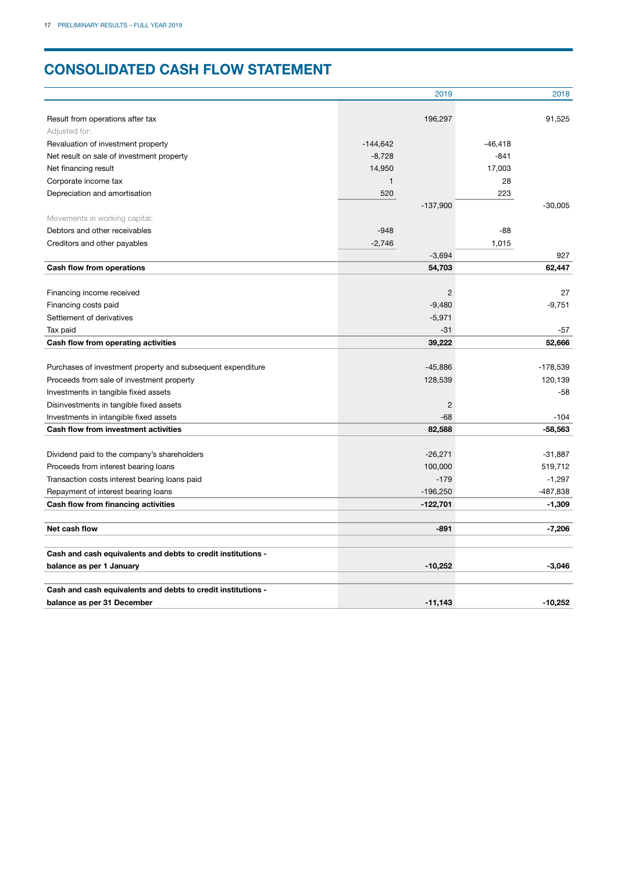# **CONSOLIDATED CASH FLOW STATEMENT**

|                                                              |            | 2019           |           | 2018       |
|--------------------------------------------------------------|------------|----------------|-----------|------------|
| Result from operations after tax                             |            | 196,297        |           | 91,525     |
| Adjusted for:                                                |            |                |           |            |
| Revaluation of investment property                           | $-144,642$ |                | $-46,418$ |            |
| Net result on sale of investment property                    | $-8,728$   |                | $-841$    |            |
| Net financing result                                         | 14,950     |                | 17,003    |            |
| Corporate income tax                                         | 1          |                | 28        |            |
| Depreciation and amortisation                                | 520        |                | 223       |            |
|                                                              |            | $-137,900$     |           | $-30,005$  |
| Movements in working capital:                                |            |                |           |            |
| Debtors and other receivables                                | $-948$     |                | $-88$     |            |
| Creditors and other payables                                 | $-2,746$   |                | 1,015     |            |
|                                                              |            | $-3,694$       |           | 927        |
| Cash flow from operations                                    |            | 54,703         |           | 62,447     |
|                                                              |            |                |           |            |
| Financing income received                                    |            | 2              |           | 27         |
| Financing costs paid                                         |            | $-9,480$       |           | $-9,751$   |
| Settlement of derivatives                                    |            | $-5,971$       |           |            |
| Tax paid                                                     |            | $-31$          |           | -57        |
| Cash flow from operating activities                          |            | 39,222         |           | 52,666     |
|                                                              |            |                |           |            |
| Purchases of investment property and subsequent expenditure  |            | $-45,886$      |           | $-178,539$ |
| Proceeds from sale of investment property                    |            | 128,539        |           | 120,139    |
| Investments in tangible fixed assets                         |            |                |           | -58        |
| Disinvestments in tangible fixed assets                      |            | $\overline{c}$ |           |            |
| Investments in intangible fixed assets                       |            | $-68$          |           | $-104$     |
| <b>Cash flow from investment activities</b>                  |            | 82,588         |           | -58,563    |
|                                                              |            |                |           |            |
| Dividend paid to the company's shareholders                  |            | $-26,271$      |           | $-31,887$  |
| Proceeds from interest bearing loans                         |            | 100,000        |           | 519,712    |
| Transaction costs interest bearing loans paid                |            | $-179$         |           | $-1,297$   |
| Repayment of interest bearing loans                          |            | $-196,250$     |           | $-487,838$ |
| Cash flow from financing activities                          |            | $-122,701$     |           | $-1,309$   |
|                                                              |            |                |           |            |
| Net cash flow                                                |            | $-891$         |           | $-7,206$   |
| Cash and cash equivalents and debts to credit institutions - |            |                |           |            |
| balance as per 1 January                                     |            | $-10,252$      |           | $-3,046$   |
|                                                              |            |                |           |            |
| Cash and cash equivalents and debts to credit institutions - |            |                |           |            |
| balance as per 31 December                                   |            | $-11.143$      |           | $-10.252$  |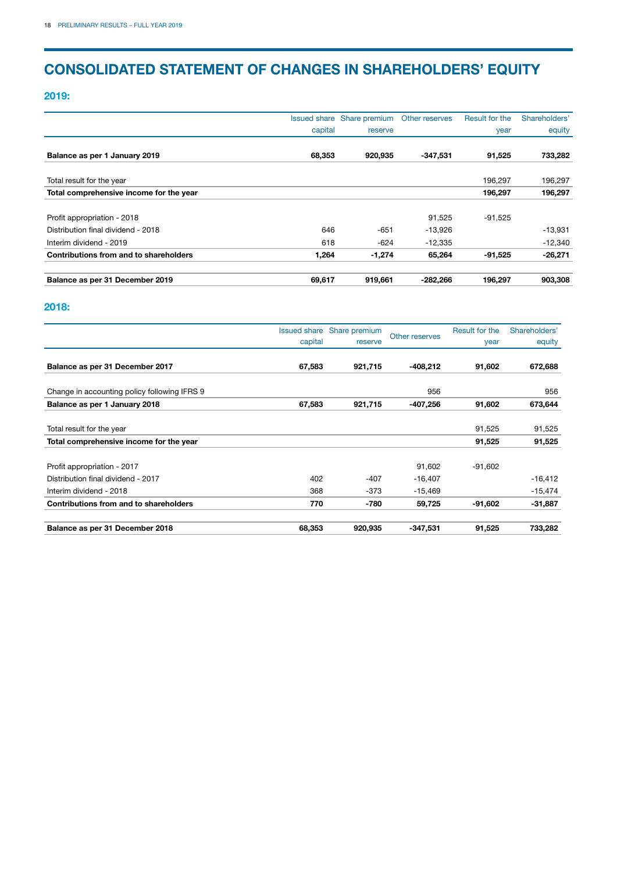## **CONSOLIDATED STATEMENT OF CHANGES IN SHAREHOLDERS' EQUITY**

**2019:**

|                                         |         | Issued share Share premium | Other reserves | Result for the | Shareholders' |
|-----------------------------------------|---------|----------------------------|----------------|----------------|---------------|
|                                         | capital | reserve                    |                | year           | equity        |
|                                         |         |                            |                |                |               |
| Balance as per 1 January 2019           | 68,353  | 920.935                    | $-347,531$     | 91,525         | 733,282       |
|                                         |         |                            |                |                |               |
| Total result for the year               |         |                            |                | 196.297        | 196,297       |
| Total comprehensive income for the year |         |                            |                | 196,297        | 196,297       |
| Profit appropriation - 2018             |         |                            | 91,525         | $-91,525$      |               |
| Distribution final dividend - 2018      | 646     | $-651$                     | $-13,926$      |                | $-13,931$     |
| Interim dividend - 2019                 | 618     | $-624$                     | $-12,335$      |                | $-12,340$     |
| Contributions from and to shareholders  | 1,264   | $-1,274$                   | 65,264         | $-91,525$      | $-26,271$     |
| Balance as per 31 December 2019         | 69,617  | 919,661                    | $-282,266$     | 196.297        | 903,308       |

### **2018:**

|                                               |         | Issued share Share premium | Other reserves | Result for the | Shareholders' |
|-----------------------------------------------|---------|----------------------------|----------------|----------------|---------------|
|                                               | capital | reserve                    |                | year           | equity        |
| Balance as per 31 December 2017               | 67,583  | 921,715                    | -408.212       | 91,602         | 672,688       |
| Change in accounting policy following IFRS 9  |         |                            | 956            |                | 956           |
| Balance as per 1 January 2018                 | 67,583  | 921,715                    | -407,256       | 91,602         | 673,644       |
| Total result for the year                     |         |                            |                | 91,525         | 91,525        |
| Total comprehensive income for the year       |         |                            |                | 91,525         | 91,525        |
| Profit appropriation - 2017                   |         |                            | 91,602         | -91,602        |               |
| Distribution final dividend - 2017            | 402     | $-407$                     | $-16,407$      |                | $-16,412$     |
| Interim dividend - 2018                       | 368     | $-373$                     | $-15,469$      |                | $-15,474$     |
| <b>Contributions from and to shareholders</b> | 770     | -780                       | 59,725         | -91,602        | $-31,887$     |
| Balance as per 31 December 2018               | 68,353  | 920,935                    | $-347,531$     | 91,525         | 733,282       |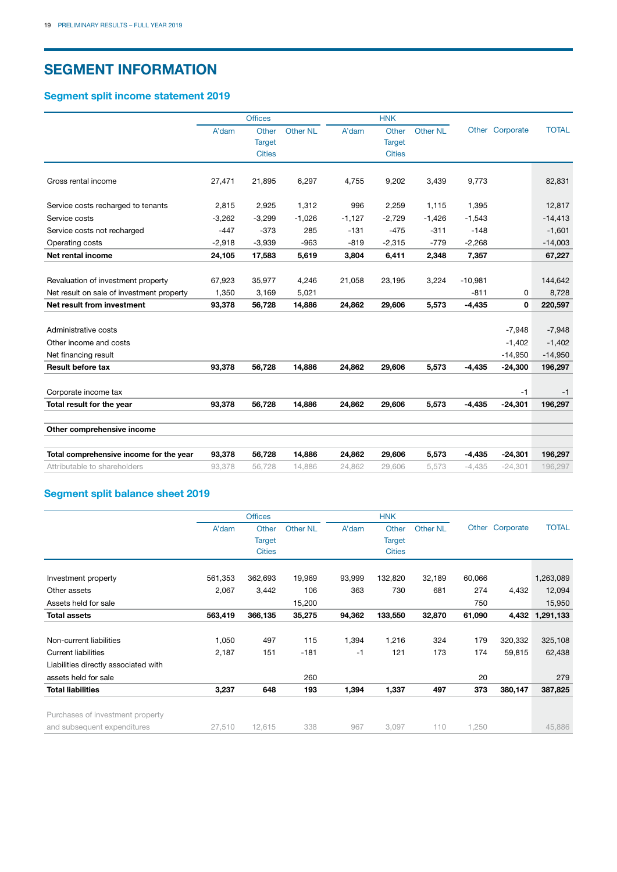### **SEGMENT INFORMATION**

### **Segment split income statement 2019**

|                                           |          | <b>Offices</b> |                 |          | <b>HNK</b>    |                 |           |                 |              |
|-------------------------------------------|----------|----------------|-----------------|----------|---------------|-----------------|-----------|-----------------|--------------|
|                                           | A'dam    | Other          | <b>Other NL</b> | A'dam    | Other         | <b>Other NL</b> |           | Other Corporate | <b>TOTAL</b> |
|                                           |          | <b>Target</b>  |                 |          | <b>Target</b> |                 |           |                 |              |
|                                           |          | <b>Cities</b>  |                 |          | <b>Cities</b> |                 |           |                 |              |
| Gross rental income                       | 27,471   | 21,895         | 6,297           | 4,755    | 9,202         | 3,439           | 9,773     |                 | 82,831       |
| Service costs recharged to tenants        | 2,815    | 2,925          | 1,312           | 996      | 2,259         | 1,115           | 1,395     |                 | 12,817       |
|                                           |          |                |                 |          |               |                 |           |                 |              |
| Service costs                             | $-3,262$ | $-3,299$       | $-1,026$        | $-1,127$ | $-2,729$      | $-1,426$        | $-1,543$  |                 | $-14,413$    |
| Service costs not recharged               | $-447$   | $-373$         | 285             | $-131$   | $-475$        | $-311$          | $-148$    |                 | $-1,601$     |
| Operating costs                           | $-2,918$ | $-3,939$       | $-963$          | $-819$   | $-2,315$      | $-779$          | $-2,268$  |                 | $-14,003$    |
| Net rental income                         | 24,105   | 17,583         | 5,619           | 3,804    | 6,411         | 2,348           | 7,357     |                 | 67,227       |
|                                           |          |                |                 |          |               |                 |           |                 |              |
| Revaluation of investment property        | 67,923   | 35,977         | 4,246           | 21,058   | 23,195        | 3,224           | $-10,981$ |                 | 144,642      |
| Net result on sale of investment property | 1,350    | 3,169          | 5,021           |          |               |                 | $-811$    | 0               | 8,728        |
| Net result from investment                | 93,378   | 56,728         | 14,886          | 24,862   | 29,606        | 5,573           | $-4,435$  | 0               | 220,597      |
|                                           |          |                |                 |          |               |                 |           |                 |              |
| Administrative costs                      |          |                |                 |          |               |                 |           | $-7,948$        | $-7,948$     |
| Other income and costs                    |          |                |                 |          |               |                 |           | $-1,402$        | $-1,402$     |
| Net financing result                      |          |                |                 |          |               |                 |           | $-14,950$       | $-14,950$    |
| <b>Result before tax</b>                  | 93,378   | 56,728         | 14,886          | 24,862   | 29,606        | 5,573           | $-4,435$  | $-24,300$       | 196,297      |
| Corporate income tax                      |          |                |                 |          |               |                 |           | $-1$            | $-1$         |
| Total result for the year                 | 93,378   | 56,728         | 14,886          | 24,862   | 29,606        | 5,573           | $-4,435$  | $-24,301$       | 196,297      |
|                                           |          |                |                 |          |               |                 |           |                 |              |
| Other comprehensive income                |          |                |                 |          |               |                 |           |                 |              |
| Total comprehensive income for the year   | 93,378   | 56,728         | 14,886          | 24,862   | 29,606        | 5,573           | $-4,435$  | $-24,301$       | 196,297      |
| Attributable to shareholders              | 93,378   | 56.728         | 14.886          | 24.862   | 29.606        | 5.573           | $-4,435$  | $-24.301$       | 196.297      |

### **Segment split balance sheet 2019**

|                                      |         | <b>Offices</b> |                 |        | <b>HNK</b>    |                 |        |                 |              |
|--------------------------------------|---------|----------------|-----------------|--------|---------------|-----------------|--------|-----------------|--------------|
|                                      | A'dam   | Other          | <b>Other NL</b> | A'dam  | Other         | <b>Other NL</b> |        | Other Corporate | <b>TOTAL</b> |
|                                      |         | <b>Target</b>  |                 |        | <b>Target</b> |                 |        |                 |              |
|                                      |         | <b>Cities</b>  |                 |        | <b>Cities</b> |                 |        |                 |              |
|                                      |         |                |                 |        |               |                 |        |                 |              |
| Investment property                  | 561,353 | 362,693        | 19,969          | 93,999 | 132,820       | 32,189          | 60,066 |                 | 1,263,089    |
| Other assets                         | 2,067   | 3,442          | 106             | 363    | 730           | 681             | 274    | 4,432           | 12,094       |
| Assets held for sale                 |         |                | 15,200          |        |               |                 | 750    |                 | 15,950       |
| <b>Total assets</b>                  | 563,419 | 366,135        | 35,275          | 94,362 | 133,550       | 32,870          | 61,090 | 4,432           | 1,291,133    |
|                                      |         |                |                 |        |               |                 |        |                 |              |
| Non-current liabilities              | 1,050   | 497            | 115             | 1,394  | 1,216         | 324             | 179    | 320,332         | 325,108      |
| <b>Current liabilities</b>           | 2,187   | 151            | $-181$          | -1     | 121           | 173             | 174    | 59,815          | 62,438       |
| Liabilities directly associated with |         |                |                 |        |               |                 |        |                 |              |
| assets held for sale                 |         |                | 260             |        |               |                 | 20     |                 | 279          |
| <b>Total liabilities</b>             | 3,237   | 648            | 193             | 1,394  | 1,337         | 497             | 373    | 380,147         | 387,825      |
| Purchases of investment property     |         |                |                 |        |               |                 |        |                 |              |
| and subsequent expenditures          | 27,510  | 12,615         | 338             | 967    | 3.097         | 110             | 1,250  |                 | 45,886       |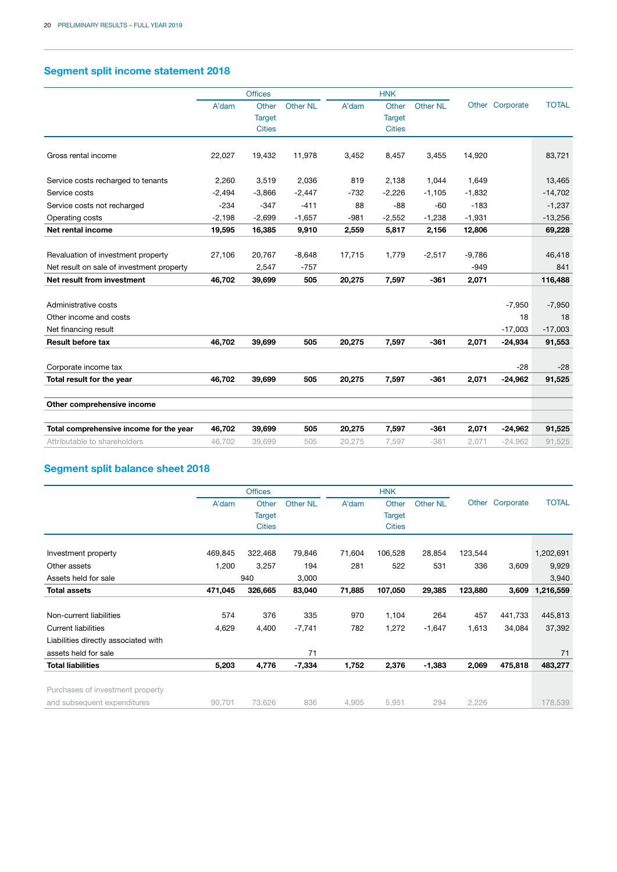### **Segment split income statement 2018**

|                                           |          | <b>Offices</b> |          |        | <b>HNK</b>    |          |          |                 |              |
|-------------------------------------------|----------|----------------|----------|--------|---------------|----------|----------|-----------------|--------------|
|                                           | A'dam    | Other          | Other NL | A'dam  | Other         | Other NL |          | Other Corporate | <b>TOTAL</b> |
|                                           |          | <b>Target</b>  |          |        | <b>Target</b> |          |          |                 |              |
|                                           |          | <b>Cities</b>  |          |        | <b>Cities</b> |          |          |                 |              |
| Gross rental income                       | 22,027   | 19,432         | 11,978   | 3,452  | 8,457         | 3,455    | 14,920   |                 | 83,721       |
| Service costs recharged to tenants        | 2,260    | 3,519          | 2,036    | 819    | 2,138         | 1,044    | 1.649    |                 | 13,465       |
| Service costs                             | $-2,494$ | $-3,866$       | $-2,447$ | $-732$ | $-2,226$      | $-1,105$ | $-1,832$ |                 | $-14,702$    |
| Service costs not recharged               | $-234$   | $-347$         | $-411$   | 88     | $-88$         | $-60$    | $-183$   |                 | $-1,237$     |
| Operating costs                           | $-2,198$ | $-2,699$       | $-1,657$ | $-981$ | $-2,552$      | $-1,238$ | $-1,931$ |                 | $-13,256$    |
| Net rental income                         | 19,595   | 16,385         | 9,910    | 2,559  | 5,817         | 2,156    | 12,806   |                 | 69,228       |
|                                           |          |                |          |        |               |          |          |                 |              |
| Revaluation of investment property        | 27,106   | 20,767         | $-8,648$ | 17,715 | 1,779         | $-2,517$ | $-9,786$ |                 | 46,418       |
| Net result on sale of investment property |          | 2,547          | $-757$   |        |               |          | $-949$   |                 | 841          |
| Net result from investment                | 46,702   | 39,699         | 505      | 20,275 | 7,597         | $-361$   | 2,071    |                 | 116,488      |
|                                           |          |                |          |        |               |          |          |                 |              |
| Administrative costs                      |          |                |          |        |               |          |          | $-7,950$        | $-7,950$     |
| Other income and costs                    |          |                |          |        |               |          |          | 18              | 18           |
| Net financing result                      |          |                |          |        |               |          |          | $-17,003$       | $-17,003$    |
| <b>Result before tax</b>                  | 46,702   | 39,699         | 505      | 20,275 | 7,597         | $-361$   | 2,071    | $-24,934$       | 91,553       |
|                                           |          |                |          |        |               |          |          |                 |              |
| Corporate income tax                      |          |                |          |        |               |          |          | $-28$           | $-28$        |
| Total result for the year                 | 46,702   | 39,699         | 505      | 20,275 | 7,597         | $-361$   | 2,071    | $-24,962$       | 91,525       |
| Other comprehensive income                |          |                |          |        |               |          |          |                 |              |
| Total comprehensive income for the year   | 46,702   | 39,699         | 505      | 20,275 | 7.597         | $-361$   | 2,071    | $-24,962$       | 91,525       |
| Attributable to shareholders              | 46.702   | 39,699         | 505      | 20,275 | 7,597         | $-361$   | 2,071    | $-24,962$       | 91,525       |

### **Segment split balance sheet 2018**

|         | <b>Offices</b> |                 |        | <b>HNK</b>    |                 |         |                  |              |
|---------|----------------|-----------------|--------|---------------|-----------------|---------|------------------|--------------|
| A'dam   | Other          | <b>Other NL</b> | A'dam  | Other         | <b>Other NL</b> |         | Corporate        | <b>TOTAL</b> |
|         | <b>Target</b>  |                 |        | <b>Target</b> |                 |         |                  |              |
|         | <b>Cities</b>  |                 |        | <b>Cities</b> |                 |         |                  |              |
|         |                |                 |        |               |                 |         |                  |              |
| 469,845 | 322,468        | 79,846          | 71,604 | 106,528       | 28,854          | 123,544 |                  | 1,202,691    |
| 1,200   | 3,257          | 194             | 281    | 522           | 531             | 336     | 3,609            | 9,929        |
|         |                | 3,000           |        |               |                 |         |                  | 3,940        |
| 471,045 | 326,665        | 83,040          | 71,885 | 107,050       | 29,385          |         | 3,609            | 1,216,559    |
|         |                |                 |        |               |                 |         |                  |              |
| 574     | 376            | 335             | 970    | 1,104         | 264             | 457     | 441,733          | 445,813      |
| 4,629   | 4,400          | $-7,741$        | 782    | 1,272         | $-1,647$        | 1,613   | 34,084           | 37,392       |
|         |                |                 |        |               |                 |         |                  |              |
|         |                | 71              |        |               |                 |         |                  | 71           |
| 5,203   | 4,776          | $-7,334$        | 1,752  | 2,376         | $-1,383$        | 2,069   | 475,818          | 483,277      |
|         |                |                 |        |               |                 |         |                  |              |
|         |                |                 |        |               |                 |         |                  | 178,539      |
|         | 90,701         | 940<br>73,626   | 836    | 4,905         | 5,951           | 294     | 123,880<br>2,226 | Other        |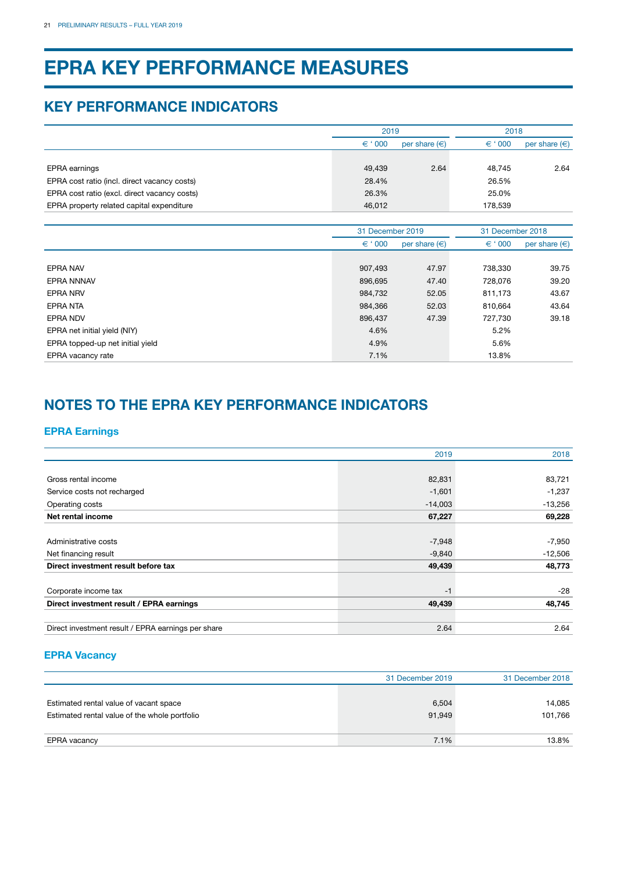# **EPRA KEY PERFORMANCE MEASURES**

### **KEY PERFORMANCE INDICATORS**

|                                              | 2019             |                   | 2018             |                        |  |
|----------------------------------------------|------------------|-------------------|------------------|------------------------|--|
|                                              | $\epsilon$ ' 000 | per share $(\in)$ | $\epsilon$ ' 000 | per share $(\epsilon)$ |  |
|                                              |                  |                   |                  |                        |  |
| <b>EPRA</b> earnings                         | 49,439           | 2.64              | 48,745           | 2.64                   |  |
| EPRA cost ratio (incl. direct vacancy costs) | 28.4%            |                   | 26.5%            |                        |  |
| EPRA cost ratio (excl. direct vacancy costs) | 26.3%            |                   | 25.0%            |                        |  |
| EPRA property related capital expenditure    | 46,012           |                   | 178,539          |                        |  |
|                                              |                  |                   |                  |                        |  |
|                                              | 31 December 2019 |                   | 31 December 2018 |                        |  |
|                                              | $\epsilon$ ' 000 | per share $(\in)$ | $\epsilon$ ' 000 | per share $(\epsilon)$ |  |
|                                              |                  |                   |                  |                        |  |
| <b>EPRA NAV</b>                              | 907,493          | 47.97             | 738,330          | 39.75                  |  |
| <b>EPRA NNNAV</b>                            | 896,695          | 47.40             | 728,076          | 39.20                  |  |
| <b>EPRA NRV</b>                              | 984,732          | 52.05             | 811,173          | 43.67                  |  |
| EPRA NTA                                     | 984,366          | 52.03             | 810,664          | 43.64                  |  |
| EPRA NDV                                     | 896,437          | 47.39             | 727,730          | 39.18                  |  |
| EPRA net initial yield (NIY)                 | 4.6%             |                   | 5.2%             |                        |  |
| EPRA topped-up net initial yield             | 4.9%             |                   | 5.6%             |                        |  |
| EPRA vacancy rate                            | 7.1%             |                   | 13.8%            |                        |  |

# **NOTES TO THE EPRA KEY PERFORMANCE INDICATORS**

### **EPRA Earnings**

|                                                    | 2019      | 2018      |
|----------------------------------------------------|-----------|-----------|
|                                                    |           |           |
| Gross rental income                                | 82,831    | 83,721    |
| Service costs not recharged                        | $-1,601$  | $-1,237$  |
| Operating costs                                    | $-14,003$ | $-13,256$ |
| Net rental income                                  | 67,227    | 69,228    |
|                                                    |           |           |
| Administrative costs                               | $-7,948$  | $-7,950$  |
| Net financing result                               | $-9,840$  | $-12,506$ |
| Direct investment result before tax                | 49,439    | 48,773    |
|                                                    |           |           |
| Corporate income tax                               | $-1$      | $-28$     |
| Direct investment result / EPRA earnings           | 49,439    | 48,745    |
|                                                    |           |           |
| Direct investment result / EPRA earnings per share | 2.64      | 2.64      |

### **EPRA Vacancy**

|                                               | 31 December 2019 | 31 December 2018 |
|-----------------------------------------------|------------------|------------------|
| Estimated rental value of vacant space        | 6,504            | 14,085           |
| Estimated rental value of the whole portfolio | 91,949           | 101.766          |
| EPRA vacancy                                  | 7.1%             | 13.8%            |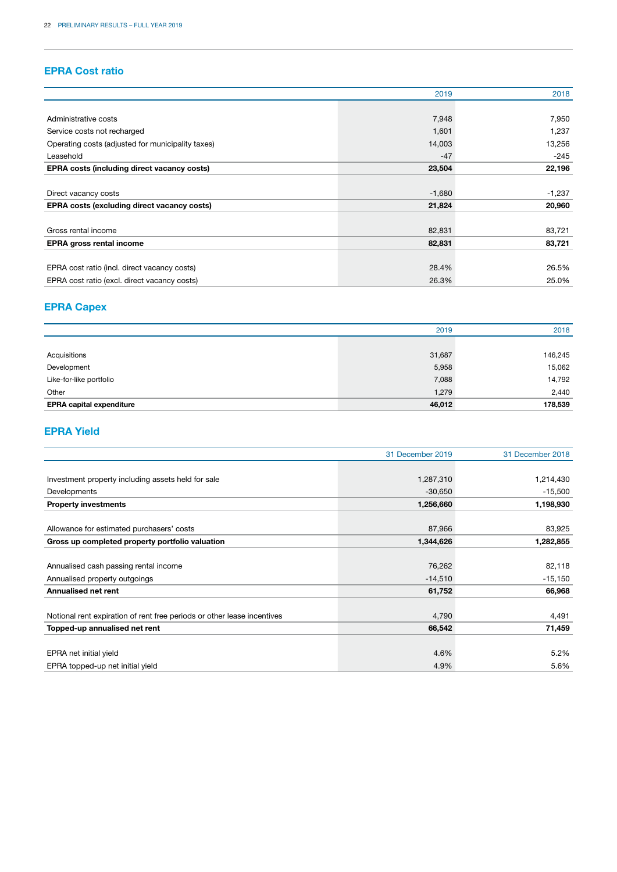### **EPRA Cost ratio**

|                                                    | 2019     | 2018     |
|----------------------------------------------------|----------|----------|
|                                                    |          |          |
| Administrative costs                               | 7,948    | 7,950    |
| Service costs not recharged                        | 1,601    | 1,237    |
| Operating costs (adjusted for municipality taxes)  | 14,003   | 13,256   |
| Leasehold                                          | $-47$    | $-245$   |
| <b>EPRA costs (including direct vacancy costs)</b> | 23,504   | 22,196   |
|                                                    |          |          |
| Direct vacancy costs                               | $-1,680$ | $-1,237$ |
| <b>EPRA costs (excluding direct vacancy costs)</b> | 21,824   | 20,960   |
|                                                    |          |          |
| Gross rental income                                | 82,831   | 83,721   |
| <b>EPRA gross rental income</b>                    | 82,831   | 83,721   |
|                                                    |          |          |
| EPRA cost ratio (incl. direct vacancy costs)       | 28.4%    | 26.5%    |
| EPRA cost ratio (excl. direct vacancy costs)       | 26.3%    | 25.0%    |

### **EPRA Capex**

|                                 | 2019   | 2018    |
|---------------------------------|--------|---------|
|                                 |        |         |
| Acquisitions                    | 31,687 | 146,245 |
| Development                     | 5,958  | 15,062  |
| Like-for-like portfolio         | 7,088  | 14,792  |
| Other                           | 1,279  | 2,440   |
| <b>EPRA capital expenditure</b> | 46,012 | 178,539 |

### **EPRA Yield**

|                                                                         | 31 December 2019 | 31 December 2018 |
|-------------------------------------------------------------------------|------------------|------------------|
|                                                                         |                  |                  |
| Investment property including assets held for sale                      | 1,287,310        | 1,214,430        |
| Developments                                                            | $-30,650$        | $-15,500$        |
| <b>Property investments</b>                                             | 1,256,660        | 1,198,930        |
|                                                                         |                  |                  |
| Allowance for estimated purchasers' costs                               | 87,966           | 83,925           |
| Gross up completed property portfolio valuation                         | 1,344,626        | 1,282,855        |
|                                                                         |                  |                  |
| Annualised cash passing rental income                                   | 76,262           | 82,118           |
| Annualised property outgoings                                           | $-14,510$        | $-15,150$        |
| <b>Annualised net rent</b>                                              | 61,752           | 66,968           |
|                                                                         |                  |                  |
| Notional rent expiration of rent free periods or other lease incentives | 4,790            | 4,491            |
| Topped-up annualised net rent                                           | 66,542           | 71,459           |
|                                                                         |                  |                  |
| EPRA net initial yield                                                  | 4.6%             | 5.2%             |
| EPRA topped-up net initial yield                                        | 4.9%             | 5.6%             |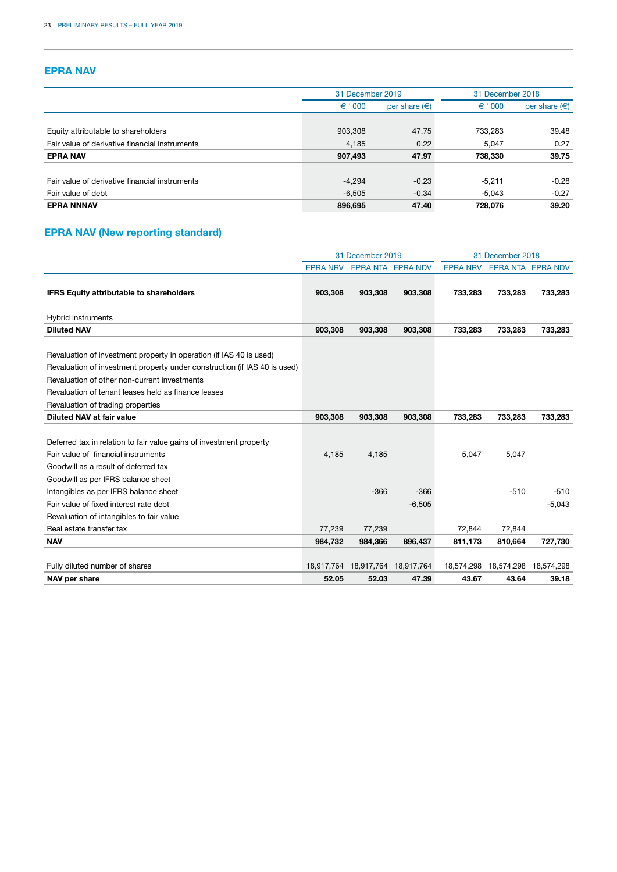### **EPRA NAV**

|                                                | 31 December 2019 |                        |                  | 31 December 2018  |  |  |
|------------------------------------------------|------------------|------------------------|------------------|-------------------|--|--|
|                                                | $\epsilon$ ' 000 | per share $(\epsilon)$ | $\epsilon$ ' 000 | per share $(\in)$ |  |  |
|                                                |                  |                        |                  |                   |  |  |
| Equity attributable to shareholders            | 903,308          | 47.75                  | 733,283          | 39.48             |  |  |
| Fair value of derivative financial instruments | 4,185            | 0.22                   | 5.047            | 0.27              |  |  |
| <b>EPRA NAV</b>                                | 907,493          | 47.97                  | 738,330          | 39.75             |  |  |
| Fair value of derivative financial instruments | $-4,294$         | $-0.23$                | $-5.211$         | $-0.28$           |  |  |
| Fair value of debt                             | $-6,505$         | $-0.34$                | $-5.043$         | $-0.27$           |  |  |
| <b>EPRA NNNAV</b>                              | 896,695          | 47.40                  | 728,076          | 39.20             |  |  |

### **EPRA NAV (New reporting standard)**

|                                                                                                                                                  | 31 December 2019 |            |                          | 31 December 2018 |            |                   |
|--------------------------------------------------------------------------------------------------------------------------------------------------|------------------|------------|--------------------------|------------------|------------|-------------------|
|                                                                                                                                                  | <b>EPRA NRV</b>  |            | <b>EPRA NTA EPRA NDV</b> | <b>EPRA NRV</b>  |            | EPRA NTA EPRA NDV |
|                                                                                                                                                  |                  |            |                          |                  |            |                   |
| <b>IFRS Equity attributable to shareholders</b>                                                                                                  | 903,308          | 903,308    | 903,308                  | 733,283          | 733,283    | 733,283           |
| Hybrid instruments                                                                                                                               |                  |            |                          |                  |            |                   |
| <b>Diluted NAV</b>                                                                                                                               | 903,308          | 903,308    | 903,308                  | 733,283          | 733,283    | 733,283           |
| Revaluation of investment property in operation (if IAS 40 is used)<br>Revaluation of investment property under construction (if IAS 40 is used) |                  |            |                          |                  |            |                   |
| Revaluation of other non-current investments                                                                                                     |                  |            |                          |                  |            |                   |
| Revaluation of tenant leases held as finance leases                                                                                              |                  |            |                          |                  |            |                   |
| Revaluation of trading properties                                                                                                                |                  |            |                          |                  |            |                   |
| Diluted NAV at fair value                                                                                                                        | 903,308          | 903,308    | 903,308                  | 733,283          | 733,283    | 733,283           |
|                                                                                                                                                  |                  |            |                          |                  |            |                   |
| Deferred tax in relation to fair value gains of investment property                                                                              |                  |            |                          |                  |            |                   |
| Fair value of financial instruments                                                                                                              | 4,185            | 4,185      |                          | 5,047            | 5,047      |                   |
| Goodwill as a result of deferred tax                                                                                                             |                  |            |                          |                  |            |                   |
| Goodwill as per IFRS balance sheet                                                                                                               |                  |            |                          |                  |            |                   |
| Intangibles as per IFRS balance sheet                                                                                                            |                  | $-366$     | $-366$                   |                  | $-510$     | $-510$            |
| Fair value of fixed interest rate debt                                                                                                           |                  |            | $-6,505$                 |                  |            | $-5,043$          |
| Revaluation of intangibles to fair value                                                                                                         |                  |            |                          |                  |            |                   |
| Real estate transfer tax                                                                                                                         | 77,239           | 77,239     |                          | 72,844           | 72,844     |                   |
| <b>NAV</b>                                                                                                                                       | 984,732          | 984,366    | 896,437                  | 811,173          | 810,664    | 727,730           |
|                                                                                                                                                  |                  |            |                          |                  |            |                   |
| Fully diluted number of shares                                                                                                                   | 18,917,764       | 18,917,764 | 18,917,764               | 18,574,298       | 18,574,298 | 18,574,298        |
| NAV per share                                                                                                                                    | 52.05            | 52.03      | 47.39                    | 43.67            | 43.64      | 39.18             |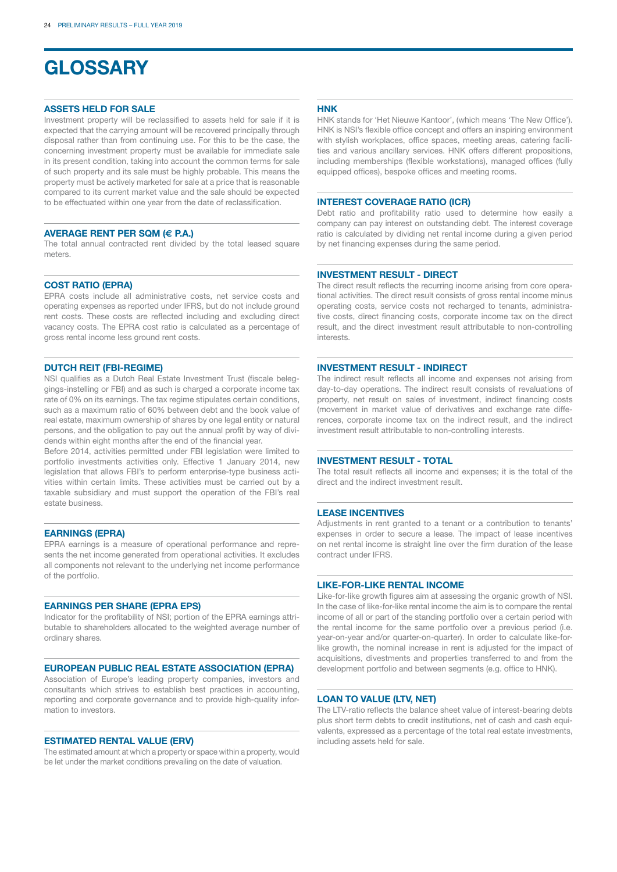# **GLOSSARY**

#### **ASSETS HELD FOR SALE**

Investment property will be reclassified to assets held for sale if it is expected that the carrying amount will be recovered principally through disposal rather than from continuing use. For this to be the case, the concerning investment property must be available for immediate sale in its present condition, taking into account the common terms for sale of such property and its sale must be highly probable. This means the property must be actively marketed for sale at a price that is reasonable compared to its current market value and the sale should be expected to be effectuated within one year from the date of reclassification.

#### **AVERAGE RENT PER SQM (€ P.A.)**

The total annual contracted rent divided by the total leased square meters.

#### **COST RATIO (EPRA)**

EPRA costs include all administrative costs, net service costs and operating expenses as reported under IFRS, but do not include ground rent costs. These costs are reflected including and excluding direct vacancy costs. The EPRA cost ratio is calculated as a percentage of gross rental income less ground rent costs.

#### **DUTCH REIT (FBI-REGIME)**

NSI qualifies as a Dutch Real Estate Investment Trust (fiscale beleggings-instelling or FBI) and as such is charged a corporate income tax rate of 0% on its earnings. The tax regime stipulates certain conditions, such as a maximum ratio of 60% between debt and the book value of real estate, maximum ownership of shares by one legal entity or natural persons, and the obligation to pay out the annual profit by way of dividends within eight months after the end of the financial year.

Before 2014, activities permitted under FBI legislation were limited to portfolio investments activities only. Effective 1 January 2014, new legislation that allows FBI's to perform enterprise-type business activities within certain limits. These activities must be carried out by a taxable subsidiary and must support the operation of the FBI's real estate business.

#### **EARNINGS (EPRA)**

EPRA earnings is a measure of operational performance and represents the net income generated from operational activities. It excludes all components not relevant to the underlying net income performance of the portfolio.

#### **EARNINGS PER SHARE (EPRA EPS)**

Indicator for the profitability of NSI; portion of the EPRA earnings attributable to shareholders allocated to the weighted average number of ordinary shares.

#### **EUROPEAN PUBLIC REAL ESTATE ASSOCIATION (EPRA)**

Association of Europe's leading property companies, investors and consultants which strives to establish best practices in accounting, reporting and corporate governance and to provide high-quality information to investors.

#### **ESTIMATED RENTAL VALUE (ERV)**

The estimated amount at which a property or space within a property, would be let under the market conditions prevailing on the date of valuation.

#### **HNK**

HNK stands for 'Het Nieuwe Kantoor', (which means 'The New Office'). HNK is NSI's flexible office concept and offers an inspiring environment with stylish workplaces, office spaces, meeting areas, catering facilities and various ancillary services. HNK offers different propositions, including memberships (flexible workstations), managed offices (fully equipped offices), bespoke offices and meeting rooms.

#### **INTEREST COVERAGE RATIO (ICR)**

Debt ratio and profitability ratio used to determine how easily a company can pay interest on outstanding debt. The interest coverage ratio is calculated by dividing net rental income during a given period by net financing expenses during the same period.

#### **INVESTMENT RESULT - DIRECT**

The direct result reflects the recurring income arising from core operational activities. The direct result consists of gross rental income minus operating costs, service costs not recharged to tenants, administrative costs, direct financing costs, corporate income tax on the direct result, and the direct investment result attributable to non-controlling interests.

#### **INVESTMENT RESULT - INDIRECT**

The indirect result reflects all income and expenses not arising from day-to-day operations. The indirect result consists of revaluations of property, net result on sales of investment, indirect financing costs (movement in market value of derivatives and exchange rate differences, corporate income tax on the indirect result, and the indirect investment result attributable to non-controlling interests.

#### **INVESTMENT RESULT - TOTAL**

The total result reflects all income and expenses; it is the total of the direct and the indirect investment result.

#### **LEASE INCENTIVES**

Adjustments in rent granted to a tenant or a contribution to tenants' expenses in order to secure a lease. The impact of lease incentives on net rental income is straight line over the firm duration of the lease contract under IFRS.

#### **LIKE-FOR-LIKE RENTAL INCOME**

Like-for-like growth figures aim at assessing the organic growth of NSI. In the case of like-for-like rental income the aim is to compare the rental income of all or part of the standing portfolio over a certain period with the rental income for the same portfolio over a previous period (i.e. year-on-year and/or quarter-on-quarter). In order to calculate like-forlike growth, the nominal increase in rent is adjusted for the impact of acquisitions, divestments and properties transferred to and from the development portfolio and between segments (e.g. office to HNK).

#### **LOAN TO VALUE (LTV, NET)**

The LTV-ratio reflects the balance sheet value of interest-bearing debts plus short term debts to credit institutions, net of cash and cash equivalents, expressed as a percentage of the total real estate investments, including assets held for sale.